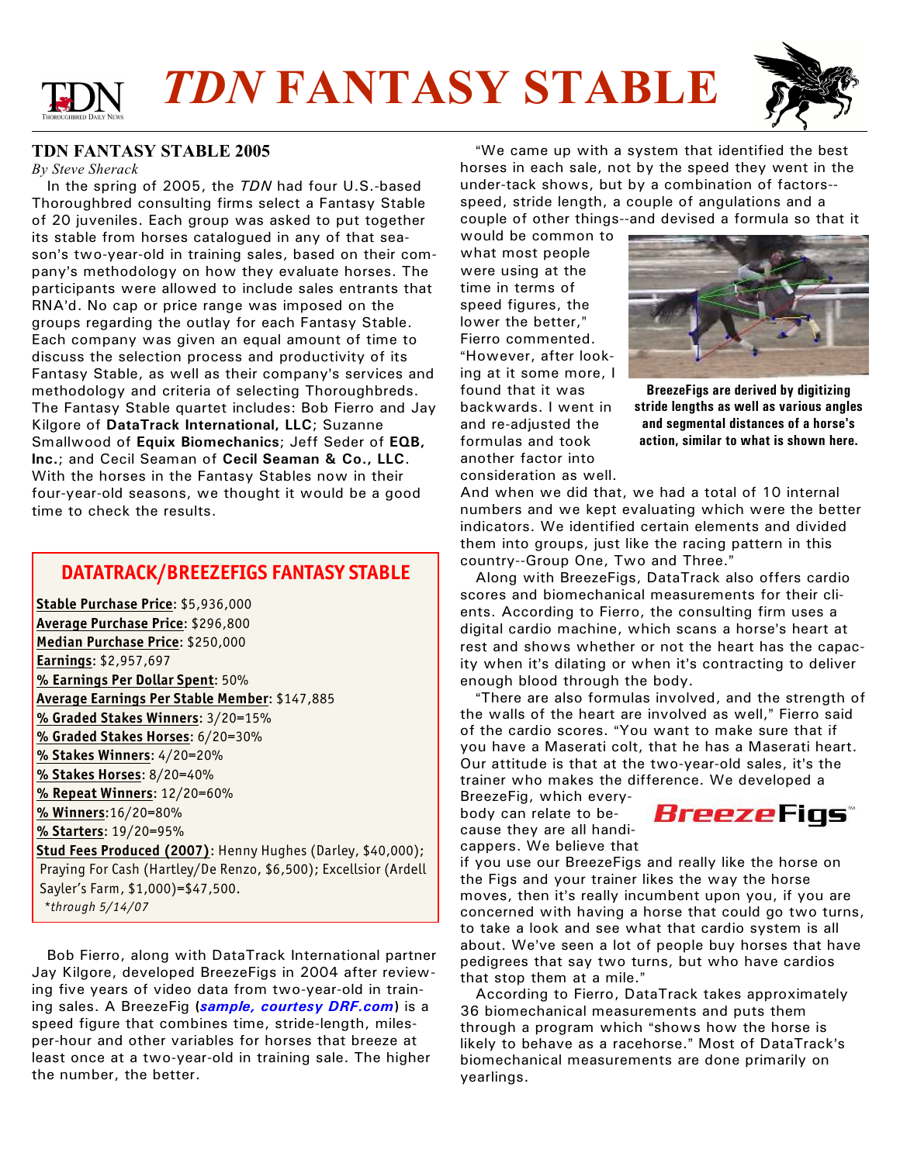



#### **TDN FANTASY STABLE 2005**

*By Steve Sherack*

 In the spring of 2005, the *TDN* had four U.S.-based Thoroughbred consulting firms select a Fantasy Stable of 20 juveniles. Each group was asked to put together its stable from horses catalogued in any of that season's two-year-old in training sales, based on their company's methodology on how they evaluate horses. The participants were allowed to include sales entrants that RNA'd. No cap or price range was imposed on the groups regarding the outlay for each Fantasy Stable. Each company was given an equal amount of time to discuss the selection process and productivity of its Fantasy Stable, as well as their company's services and methodology and criteria of selecting Thoroughbreds. The Fantasy Stable quartet includes: Bob Fierro and Jay Kilgore of **DataTrack International, LLC**; Suzanne Smallwood of **Equix Biomechanics**; Jeff Seder of **EQB, Inc.**; and Cecil Seaman of **Cecil Seaman & Co., LLC**. With the horses in the Fantasy Stables now in their four-year-old seasons, we thought it would be a good time to check the results.

### **DATATRACK/BREEZEFIGS FANTASY STABLE**

 **Stable Purchase Price**: \$5,936,000 **Average Purchase Price**: \$296,800 **Median Purchase Price**: \$250,000 **Earnings**: \$2,957,697 **% Earnings Per Dollar Spent**: 50% **Average Earnings Per Stable Member**: \$147,885 **% Graded Stakes Winners**: 3/20=15% **% Graded Stakes Horses**: 6/20=30% **% Stakes Winners**: 4/20=20% **% Stakes Horses**: 8/20=40% **% Repeat Winners**: 12/20=60% **% Winners**:16/20=80% **% Starters**: 19/20=95% **Stud Fees Produced (2007)**: Henny Hughes (Darley, \$40,000); Praying For Cash (Hartley/De Renzo, \$6,500); Excellsior (Ardell Sayler's Farm, \$1,000)=\$47,500.

*\*through 5/14/07*

 Bob Fierro, along with DataTrack International partner Jay Kilgore, developed BreezeFigs in 2004 after reviewing five years of video data from two-year-old in training sales. A BreezeFig **(***[sample, courtesy DRF.com](http://www.drf.com/hcponline/samples/29649.html)***)** is a speed figure that combines time, stride-length, milesper-hour and other variables for horses that breeze at least once at a two-year-old in training sale. The higher the number, the better.

"We came up with a system that identified the best horses in each sale, not by the speed they went in the under-tack shows, but by a combination of factors- speed, stride length, a couple of angulations and a couple of other things--and devised a formula so that it

would be common to what most people were using at the time in terms of speed figures, the lower the better," Fierro commented. "However, after looking at it some more, I found that it was backwards. I went in and re-adjusted the formulas and took another factor into consideration as well.



**BreezeFigs are derived by digitizing stride lengths as well as various angles and segmental distances of a horse's action, similar to what is shown here.**

And when we did that, we had a total of 10 internal numbers and we kept evaluating which were the better indicators. We identified certain elements and divided them into groups, just like the racing pattern in this country--Group One, Two and Three."

 Along with BreezeFigs, DataTrack also offers cardio scores and biomechanical measurements for their clients. According to Fierro, the consulting firm uses a digital cardio machine, which scans a horse's heart at rest and shows whether or not the heart has the capacity when it's dilating or when it's contracting to deliver enough blood through the body.

"There are also formulas involved, and the strength of the walls of the heart are involved as well." Fierro said of the cardio scores. "You want to make sure that if you have a Maserati colt, that he has a Maserati heart. Our attitude is that at the two-year-old sales, it's the trainer who makes the difference. We developed a

BreezeFig, which everybody can relate to because they are all handicappers. We believe that



if you use our BreezeFigs and really like the horse on the Figs and your trainer likes the way the horse moves, then it's really incumbent upon you, if you are concerned with having a horse that could go two turns, to take a look and see what that cardio system is all about. We've seen a lot of people buy horses that have pedigrees that say two turns, but who have cardios that stop them at a mile."

 According to Fierro, DataTrack takes approximately 36 biomechanical measurements and puts them through a program which "shows how the horse is likely to behave as a racehorse." Most of DataTrack's biomechanical measurements are done primarily on yearlings.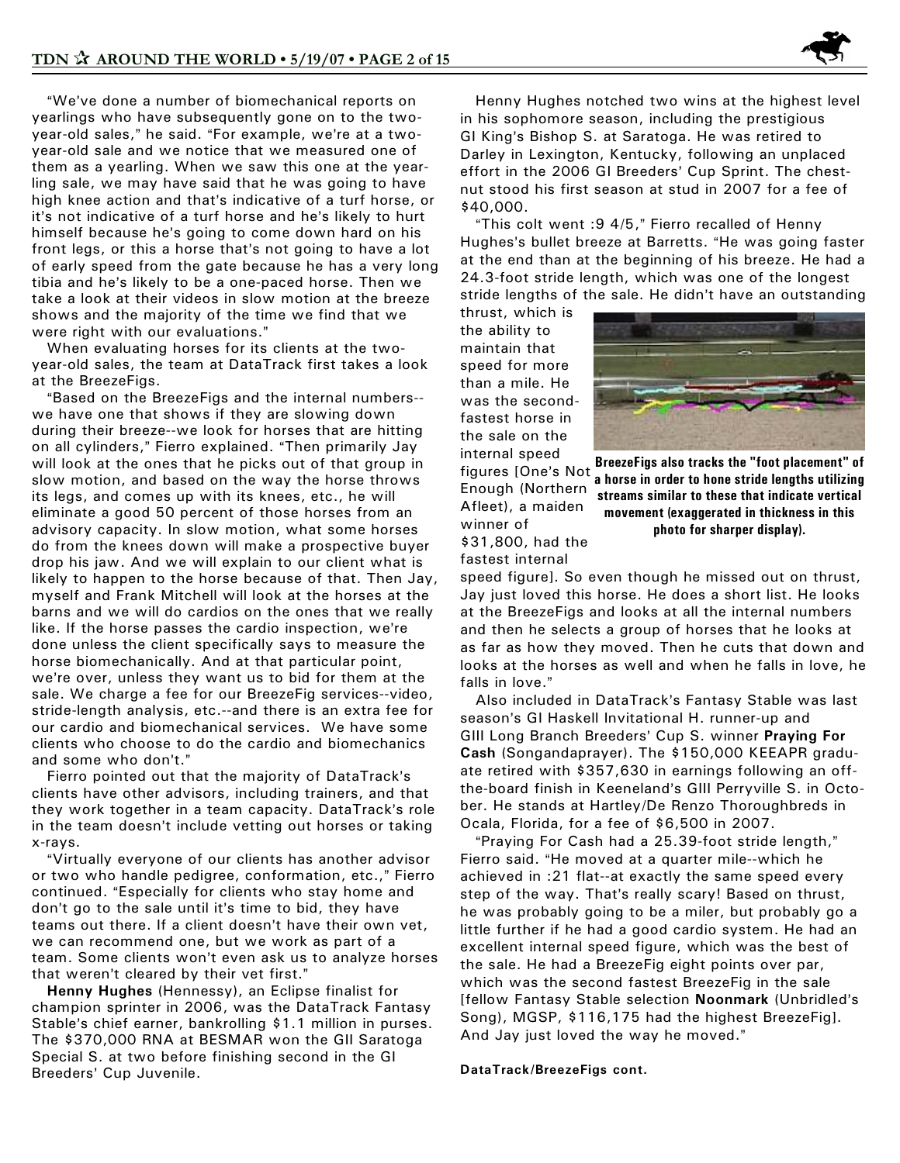"We've done a number of biomechanical reports on yearlings who have subsequently gone on to the twoyear-old sales," he said. "For example, we're at a twoyear-old sale and we notice that we measured one of them as a yearling. When we saw this one at the yearling sale, we may have said that he was going to have high knee action and that's indicative of a turf horse, or it's not indicative of a turf horse and he's likely to hurt himself because he's going to come down hard on his front legs, or this a horse that's not going to have a lot of early speed from the gate because he has a very long tibia and he's likely to be a one-paced horse. Then we take a look at their videos in slow motion at the breeze shows and the majority of the time we find that we were right with our evaluations."

 When evaluating horses for its clients at the twoyear-old sales, the team at DataTrack first takes a look at the BreezeFigs.

"Based on the BreezeFigs and the internal numbers-we have one that shows if they are slowing down during their breeze--we look for horses that are hitting on all cylinders," Fierro explained. "Then primarily Jay will look at the ones that he picks out of that group in slow motion, and based on the way the horse throws its legs, and comes up with its knees, etc., he will eliminate a good 50 percent of those horses from an advisory capacity. In slow motion, what some horses do from the knees down will make a prospective buyer drop his jaw. And we will explain to our client what is likely to happen to the horse because of that. Then Jay, myself and Frank Mitchell will look at the horses at the barns and we will do cardios on the ones that we really like. If the horse passes the cardio inspection, we're done unless the client specifically says to measure the horse biomechanically. And at that particular point, we're over, unless they want us to bid for them at the sale. We charge a fee for our BreezeFig services--video, stride-length analysis, etc.--and there is an extra fee for our cardio and biomechanical services. We have some clients who choose to do the cardio and biomechanics and some who don't."

Fierro pointed out that the majority of DataTrack's clients have other advisors, including trainers, and that they work together in a team capacity. DataTrack's role in the team doesn't include vetting out horses or taking x-rays.

"Virtually everyone of our clients has another advisor or two who handle pedigree, conformation, etc.," Fierro continued. "Especially for clients who stay home and don't go to the sale until it's time to bid, they have teams out there. If a client doesn't have their own vet, we can recommend one, but we work as part of a team. Some clients won't even ask us to analyze horses that weren't cleared by their vet first."

 **Henny Hughes** (Hennessy), an Eclipse finalist for champion sprinter in 2006, was the DataTrack Fantasy Stable's chief earner, bankrolling \$1.1 million in purses. The \$370,000 RNA at BESMAR won the GII Saratoga Special S. at two before finishing second in the GI Breeders' Cup Juvenile.

 Henny Hughes notched two wins at the highest level in his sophomore season, including the prestigious GI King's Bishop S. at Saratoga. He was retired to Darley in Lexington, Kentucky, following an unplaced effort in the 2006 GI Breeders' Cup Sprint. The chestnut stood his first season at stud in 2007 for a fee of \$40,000.

"This colt went : 9 4/5," Fierro recalled of Henny Hughes's bullet breeze at Barretts. "He was going faster at the end than at the beginning of his breeze. He had a 24.3-foot stride length, which was one of the longest stride lengths of the sale. He didn't have an outstanding

thrust, which is the ability to maintain that speed for more than a mile. He was the secondfastest horse in the sale on the internal speed figures [One's Not Enough (Northern Afleet), a maiden winner of



**BreezeFigs also tracks the "foot placement" of a horse in order to hone stride lengths utilizing streams similar to these that indicate vertical movement (exaggerated in thickness in this photo for sharper display).**

\$31,800, had the fastest internal

speed figure]. So even though he missed out on thrust, Jay just loved this horse. He does a short list. He looks at the BreezeFigs and looks at all the internal numbers and then he selects a group of horses that he looks at as far as how they moved. Then he cuts that down and looks at the horses as well and when he falls in love, he falls in love."

Also included in DataTrack's Fantasy Stable was last season's GI Haskell Invitational H. runner-up and GIII Long Branch Breeders' Cup S. winner Praying For **Cash** (Songandaprayer). The \$150,000 KEEAPR graduate retired with \$357,630 in earnings following an offthe-board finish in Keeneland's GIII Perryville S. in October. He stands at Hartley/De Renzo Thoroughbreds in Ocala, Florida, for a fee of \$6,500 in 2007.

"Praying For Cash had a 25.39-foot stride length," Fierro said. "He moved at a quarter mile--which he achieved in :21 flat--at exactly the same speed every step of the way. That's really scary! Based on thrust, he was probably going to be a miler, but probably go a little further if he had a good cardio system. He had an excellent internal speed figure, which was the best of the sale. He had a BreezeFig eight points over par, which was the second fastest BreezeFig in the sale **[fellow Fantasy Stable selection Noonmark (Unbridled's** Song), MGSP, \$116,175 had the highest BreezeFig]. And Jay just loved the way he moved."

#### **DataTrack/BreezeFigs cont.**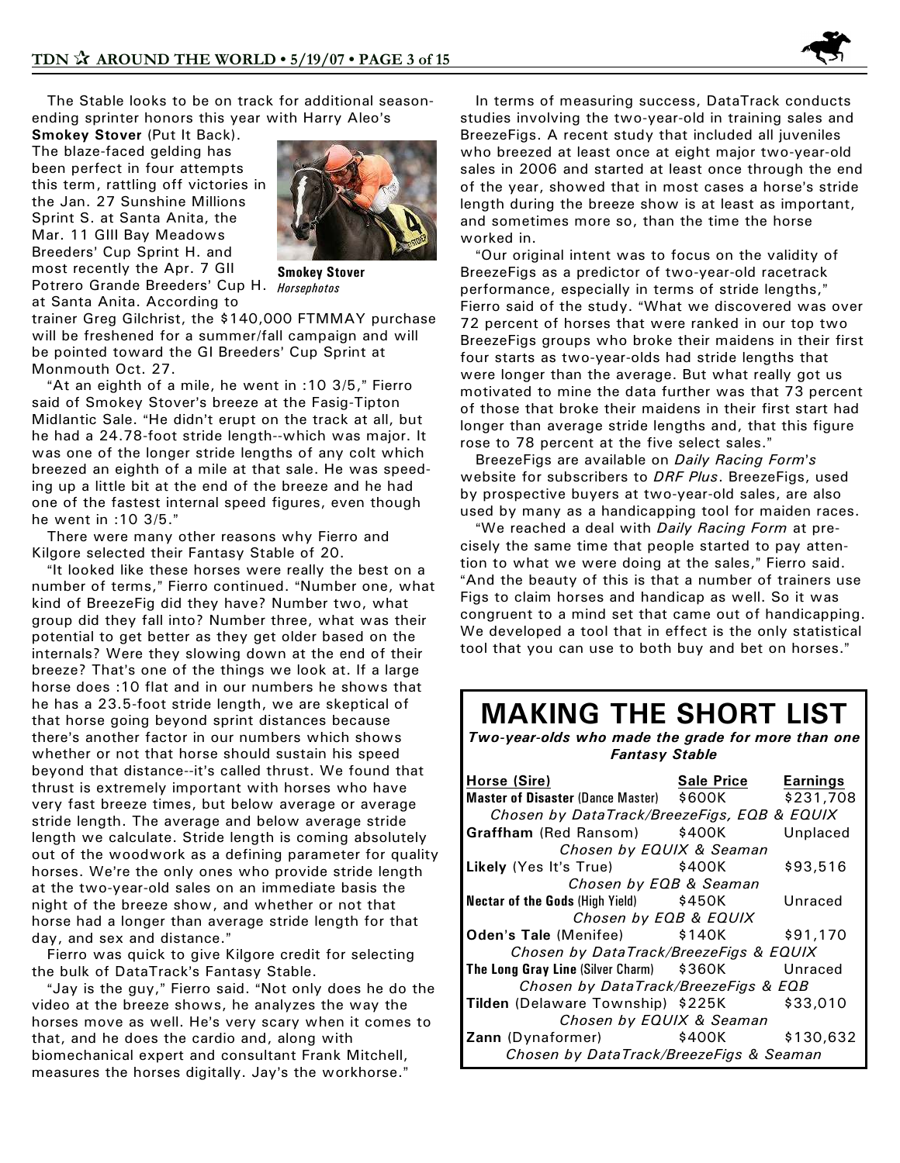

 The Stable looks to be on track for additional seasonending sprinter honors this year with Harry Aleo's

**Smokey Stover** (Put It Back). The blaze-faced gelding has been perfect in four attempts this term, rattling off victories in the Jan. 27 Sunshine Millions Sprint S. at Santa Anita, the Mar. 11 GIII Bay Meadows Breeders' Cup Sprint H. and most recently the Apr. 7 GII Potrero Grande Breeders= Cup H. *Horsephotos*



**Smokey Stover**

at Santa Anita. According to trainer Greg Gilchrist, the \$140,000 FTMMAY purchase will be freshened for a summer/fall campaign and will be pointed toward the GI Breeders' Cup Sprint at Monmouth Oct. 27.

"At an eighth of a mile, he went in :10 3/5," Fierro said of Smokey Stover's breeze at the Fasig-Tipton Midlantic Sale. "He didn't erupt on the track at all, but he had a 24.78-foot stride length--which was major. It was one of the longer stride lengths of any colt which breezed an eighth of a mile at that sale. He was speeding up a little bit at the end of the breeze and he had one of the fastest internal speed figures, even though he went in :10 3/5."

 There were many other reasons why Fierro and Kilgore selected their Fantasy Stable of 20.

"It looked like these horses were really the best on a number of terms," Fierro continued. "Number one, what kind of BreezeFig did they have? Number two, what group did they fall into? Number three, what was their potential to get better as they get older based on the internals? Were they slowing down at the end of their breeze? That's one of the things we look at. If a large horse does :10 flat and in our numbers he shows that he has a 23.5-foot stride length, we are skeptical of that horse going beyond sprint distances because there's another factor in our numbers which shows whether or not that horse should sustain his speed beyond that distance--it's called thrust. We found that thrust is extremely important with horses who have very fast breeze times, but below average or average stride length. The average and below average stride length we calculate. Stride length is coming absolutely out of the woodwork as a defining parameter for quality horses. We're the only ones who provide stride length at the two-year-old sales on an immediate basis the night of the breeze show, and whether or not that horse had a longer than average stride length for that day, and sex and distance."

 Fierro was quick to give Kilgore credit for selecting the bulk of DataTrack's Fantasy Stable.

"Jay is the guy," Fierro said. "Not only does he do the video at the breeze shows, he analyzes the way the horses move as well. He's very scary when it comes to that, and he does the cardio and, along with biomechanical expert and consultant Frank Mitchell, measures the horses digitally. Jay's the workhorse."

 In terms of measuring success, DataTrack conducts studies involving the two-year-old in training sales and BreezeFigs. A recent study that included all juveniles who breezed at least once at eight major two-year-old sales in 2006 and started at least once through the end of the year, showed that in most cases a horse's stride length during the breeze show is at least as important, and sometimes more so, than the time the horse worked in.

"Our original intent was to focus on the validity of BreezeFigs as a predictor of two-year-old racetrack performance, especially in terms of stride lengths," Fierro said of the study. "What we discovered was over 72 percent of horses that were ranked in our top two BreezeFigs groups who broke their maidens in their first four starts as two-year-olds had stride lengths that were longer than the average. But what really got us motivated to mine the data further was that 73 percent of those that broke their maidens in their first start had longer than average stride lengths and, that this figure rose to 78 percent at the five select sales."

BreezeFigs are available on *Daily Racing Form's* website for subscribers to *DRF Plus*. BreezeFigs, used by prospective buyers at two-year-old sales, are also used by many as a handicapping tool for maiden races.

"We reached a deal with *Daily Racing Form* at precisely the same time that people started to pay attention to what we were doing at the sales," Fierro said. "And the beauty of this is that a number of trainers use Figs to claim horses and handicap as well. So it was congruent to a mind set that came out of handicapping. We developed a tool that in effect is the only statistical tool that you can use to both buy and bet on horses."

## **MAKING THE SHORT LIST**

*Two-year-olds who made the grade for more than one Fantasy Stable*

| Horse (Sire)                                       | Sale Price | Earnings |  |  |  |  |  |
|----------------------------------------------------|------------|----------|--|--|--|--|--|
| Master of Disaster (Dance Master) \$600K \$231,708 |            |          |  |  |  |  |  |
| Chosen by DataTrack/BreezeFigs, EQB & EQUIX        |            |          |  |  |  |  |  |
| Graffham (Red Ransom) \$400K                       |            | Unplaced |  |  |  |  |  |
| Chosen by EQUIX & Seaman                           |            |          |  |  |  |  |  |
| Likely (Yes It's True) \$400K                      |            | \$93,516 |  |  |  |  |  |
| Chosen by EQB & Seaman                             |            |          |  |  |  |  |  |
| Nectar of the Gods (High Yield) \$450K             |            | Unraced  |  |  |  |  |  |
| Chosen by EQB & EQUIX                              |            |          |  |  |  |  |  |
| Oden's Tale (Menifee) \$140K                       |            | \$91,170 |  |  |  |  |  |
| Chosen by DataTrack/BreezeFigs & EQUIX             |            |          |  |  |  |  |  |
| The Long Gray Line (Silver Charm) \$360K           |            | Unraced  |  |  |  |  |  |
| Chosen by DataTrack/BreezeFigs & EQB               |            |          |  |  |  |  |  |
| Tilden (Delaware Township) \$225K                  |            | \$33.010 |  |  |  |  |  |
| Chosen by EQUIX & Seaman                           |            |          |  |  |  |  |  |
| <b>Zann</b> (Dynaformer) $\qquad$ \$400K \$130,632 |            |          |  |  |  |  |  |
| Chosen by DataTrack/BreezeFigs & Seaman            |            |          |  |  |  |  |  |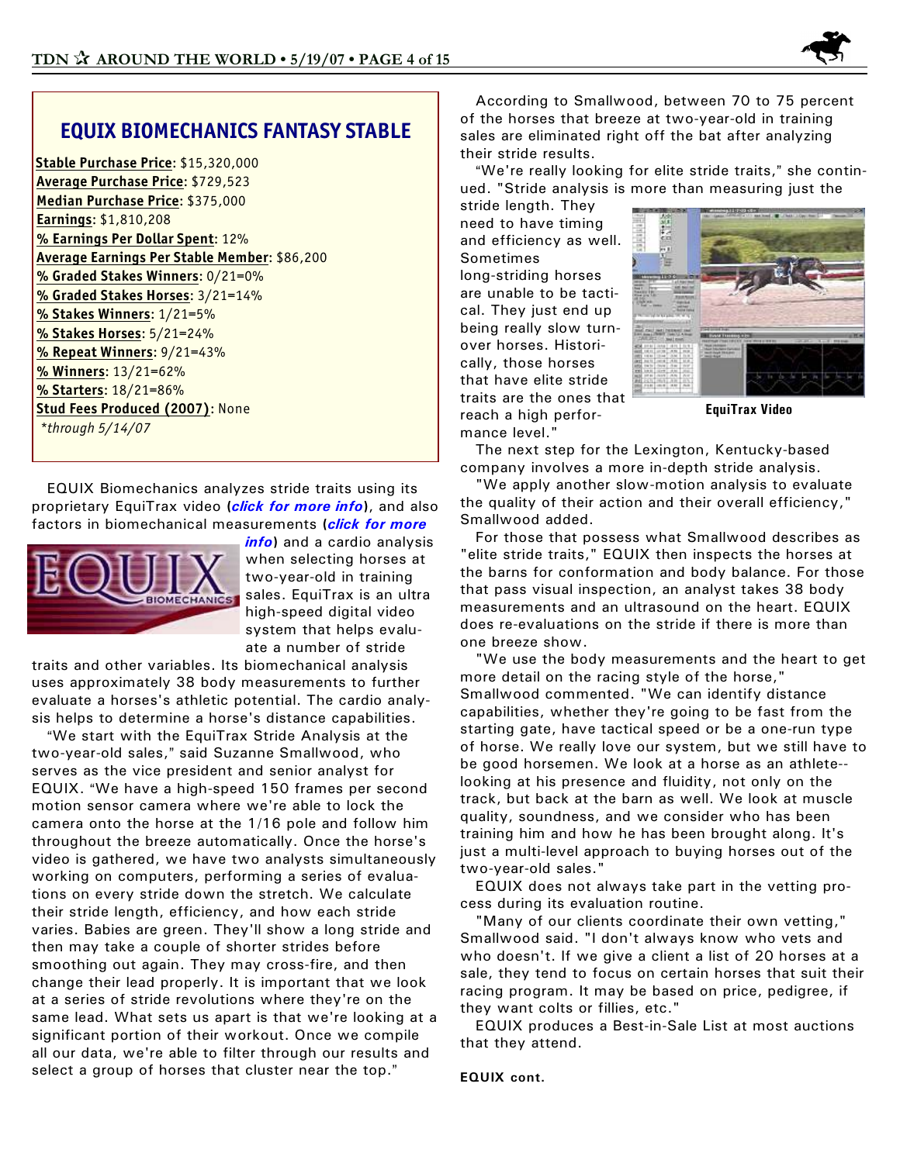

### **EQUIX BIOMECHANICS FANTASY STABLE**

**Stable Purchase Price**: \$15,320,000 **Average Purchase Price**: \$729,523 **Median Purchase Price**: \$375,000 **Earnings**: \$1,810,208 **% Earnings Per Dollar Spent**: 12% **Average Earnings Per Stable Member**: \$86,200 **% Graded Stakes Winners**: 0/21=0% **% Graded Stakes Horses**: 3/21=14% **% Stakes Winners**: 1/21=5% **% Stakes Horses**: 5/21=24% **% Repeat Winners**: 9/21=43% **% Winners**: 13/21=62% **% Starters**: 18/21=86% **Stud Fees Produced (2007)**: None *\*through 5/14/07*

 EQUIX Biomechanics analyzes stride traits using its proprietary EquiTrax video **(***[click for more info](http://www.equixbio.com/pdfs/motion_analysis.pdf)***)**, and also factors in biomechanical measurements **(***[click for more](http://www.equixbio.com/pdfs/Biomechanics.pdf)*



*[info](http://www.equixbio.com/pdfs/Biomechanics.pdf)***)** and a cardio analysis when selecting horses at two-year-old in training sales. EquiTrax is an ultra high-speed digital video system that helps evaluate a number of stride

traits and other variables. Its biomechanical analysis uses approximately 38 body measurements to further evaluate a horses's athletic potential. The cardio analysis helps to determine a horse's distance capabilities.

"We start with the EquiTrax Stride Analysis at the two-year-old sales," said Suzanne Smallwood, who serves as the vice president and senior analyst for EQUIX. "We have a high-speed 150 frames per second motion sensor camera where we're able to lock the camera onto the horse at the 1/16 pole and follow him throughout the breeze automatically. Once the horse's video is gathered, we have two analysts simultaneously working on computers, performing a series of evaluations on every stride down the stretch. We calculate their stride length, efficiency, and how each stride varies. Babies are green. They'll show a long stride and then may take a couple of shorter strides before smoothing out again. They may cross-fire, and then change their lead properly. It is important that we look at a series of stride revolutions where they're on the same lead. What sets us apart is that we're looking at a significant portion of their workout. Once we compile all our data, we're able to filter through our results and select a group of horses that cluster near the top."

 According to Smallwood, between 70 to 75 percent of the horses that breeze at two-year-old in training sales are eliminated right off the bat after analyzing their stride results.

"We're really looking for elite stride traits," she continued. "Stride analysis is more than measuring just the

stride length. They need to have timing and efficiency as well. Sometimes long-striding horses are unable to be tactical. They just end up being really slow turnover horses. Historically, those horses that have elite stride traits are the ones that reach a high performance level."



**EquiTrax Video**

 The next step for the Lexington, Kentucky-based company involves a more in-depth stride analysis.

 "We apply another slow-motion analysis to evaluate the quality of their action and their overall efficiency," Smallwood added.

 For those that possess what Smallwood describes as "elite stride traits," EQUIX then inspects the horses at the barns for conformation and body balance. For those that pass visual inspection, an analyst takes 38 body measurements and an ultrasound on the heart. EQUIX does re-evaluations on the stride if there is more than one breeze show.

 "We use the body measurements and the heart to get more detail on the racing style of the horse," Smallwood commented. "We can identify distance capabilities, whether they're going to be fast from the starting gate, have tactical speed or be a one-run type of horse. We really love our system, but we still have to be good horsemen. We look at a horse as an athlete- looking at his presence and fluidity, not only on the track, but back at the barn as well. We look at muscle quality, soundness, and we consider who has been training him and how he has been brought along. It's just a multi-level approach to buying horses out of the two-year-old sales."

 EQUIX does not always take part in the vetting process during its evaluation routine.

 "Many of our clients coordinate their own vetting," Smallwood said. "I don't always know who vets and who doesn't. If we give a client a list of 20 horses at a sale, they tend to focus on certain horses that suit their racing program. It may be based on price, pedigree, if they want colts or fillies, etc."

 EQUIX produces a Best-in-Sale List at most auctions that they attend.

**EQUIX cont.**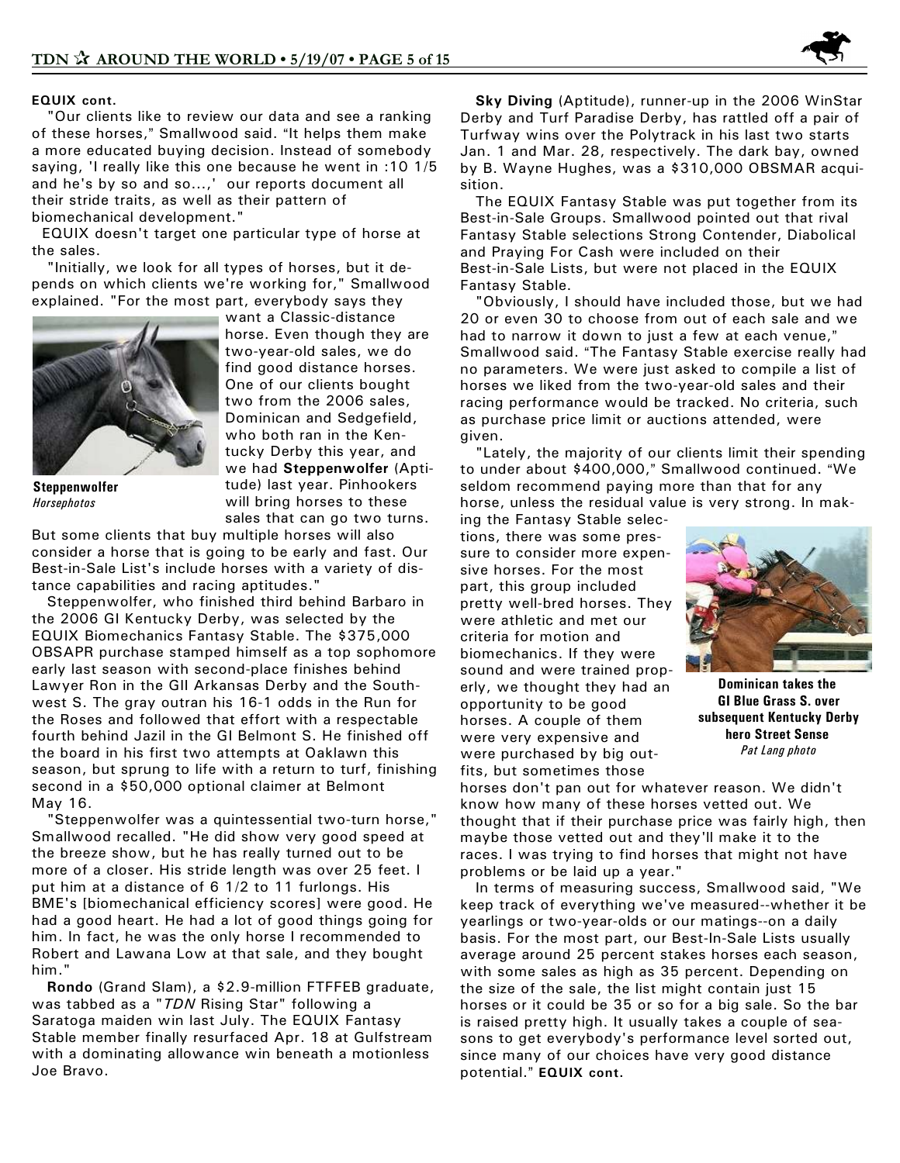

#### **EQUIX cont.**

 "Our clients like to review our data and see a ranking of these horses," Smallwood said. "It helps them make a more educated buying decision. Instead of somebody saying, 'I really like this one because he went in :10 1/5 and he's by so and so...,' our reports document all their stride traits, as well as their pattern of biomechanical development."

 EQUIX doesn't target one particular type of horse at the sales.

 "Initially, we look for all types of horses, but it depends on which clients we're working for," Smallwood explained. "For the most part, everybody says they



**Steppenwolfer** *Horsephotos*

want a Classic-distance horse. Even though they are two-year-old sales, we do find good distance horses. One of our clients bought two from the 2006 sales, Dominican and Sedgefield, who both ran in the Kentucky Derby this year, and we had **Steppenwolfer** (Aptitude) last year. Pinhookers will bring horses to these sales that can go two turns.

But some clients that buy multiple horses will also consider a horse that is going to be early and fast. Our Best-in-Sale List's include horses with a variety of distance capabilities and racing aptitudes."

 Steppenwolfer, who finished third behind Barbaro in the 2006 GI Kentucky Derby, was selected by the EQUIX Biomechanics Fantasy Stable. The \$375,000 OBSAPR purchase stamped himself as a top sophomore early last season with second-place finishes behind Lawyer Ron in the GII Arkansas Derby and the Southwest S. The gray outran his 16-1 odds in the Run for the Roses and followed that effort with a respectable fourth behind Jazil in the GI Belmont S. He finished off the board in his first two attempts at Oaklawn this season, but sprung to life with a return to turf, finishing second in a \$50,000 optional claimer at Belmont May 16.

 "Steppenwolfer was a quintessential two-turn horse," Smallwood recalled. "He did show very good speed at the breeze show, but he has really turned out to be more of a closer. His stride length was over 25 feet. I put him at a distance of 6 1/2 to 11 furlongs. His BME's [biomechanical efficiency scores] were good. He had a good heart. He had a lot of good things going for him. In fact, he was the only horse I recommended to Robert and Lawana Low at that sale, and they bought him."

 **Rondo** (Grand Slam), a \$2.9-million FTFFEB graduate, was tabbed as a "*TDN* Rising Star" following a Saratoga maiden win last July. The EQUIX Fantasy Stable member finally resurfaced Apr. 18 at Gulfstream with a dominating allowance win beneath a motionless Joe Bravo.

 **Sky Diving** (Aptitude), runner-up in the 2006 WinStar Derby and Turf Paradise Derby, has rattled off a pair of Turfway wins over the Polytrack in his last two starts Jan. 1 and Mar. 28, respectively. The dark bay, owned by B. Wayne Hughes, was a \$310,000 OBSMAR acquisition.

 The EQUIX Fantasy Stable was put together from its Best-in-Sale Groups. Smallwood pointed out that rival Fantasy Stable selections Strong Contender, Diabolical and Praying For Cash were included on their Best-in-Sale Lists, but were not placed in the EQUIX Fantasy Stable.

 "Obviously, I should have included those, but we had 20 or even 30 to choose from out of each sale and we had to narrow it down to just a few at each venue," Smallwood said. "The Fantasy Stable exercise really had no parameters. We were just asked to compile a list of horses we liked from the two-year-old sales and their racing performance would be tracked. No criteria, such as purchase price limit or auctions attended, were given.

 "Lately, the majority of our clients limit their spending to under about \$400,000," Smallwood continued. "We seldom recommend paying more than that for any horse, unless the residual value is very strong. In mak-

ing the Fantasy Stable selections, there was some pressure to consider more expensive horses. For the most part, this group included pretty well-bred horses. They were athletic and met our criteria for motion and biomechanics. If they were sound and were trained properly, we thought they had an opportunity to be good horses. A couple of them were very expensive and were purchased by big outfits, but sometimes those



**Dominican takes the GI Blue Grass S. over subsequent Kentucky Derby hero Street Sense**  *Pat Lang photo*

horses don't pan out for whatever reason. We didn't know how many of these horses vetted out. We thought that if their purchase price was fairly high, then maybe those vetted out and they'll make it to the races. I was trying to find horses that might not have problems or be laid up a year."

 In terms of measuring success, Smallwood said, "We keep track of everything we've measured--whether it be yearlings or two-year-olds or our matings--on a daily basis. For the most part, our Best-In-Sale Lists usually average around 25 percent stakes horses each season, with some sales as high as 35 percent. Depending on the size of the sale, the list might contain just 15 horses or it could be 35 or so for a big sale. So the bar is raised pretty high. It usually takes a couple of seasons to get everybody's performance level sorted out, since many of our choices have very good distance potential." **EQUIX** cont.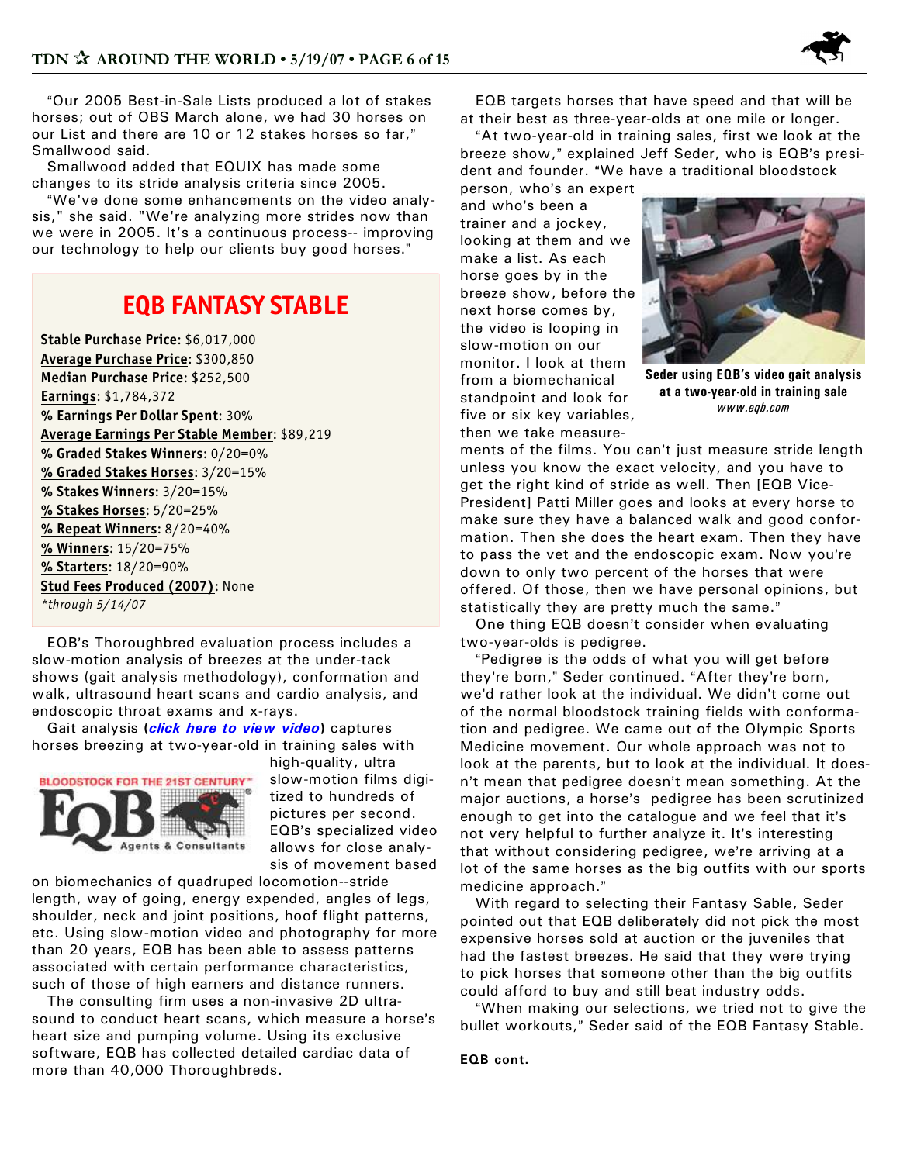

"Our 2005 Best-in-Sale Lists produced a lot of stakes horses; out of OBS March alone, we had 30 horses on our List and there are 10 or 12 stakes horses so far," Smallwood said.

 Smallwood added that EQUIX has made some changes to its stride analysis criteria since 2005.

"We've done some enhancements on the video analysis," she said. "We're analyzing more strides now than we were in 2005. It's a continuous process-- improving our technology to help our clients buy good horses."

## **EQB FANTASY STABLE**

**Stable Purchase Price**: \$6,017,000 **Average Purchase Price**: \$300,850 **Median Purchase Price**: \$252,500 **Earnings**: \$1,784,372 **% Earnings Per Dollar Spent**: 30% **Average Earnings Per Stable Member**: \$89,219 **% Graded Stakes Winners**: 0/20=0% **% Graded Stakes Horses**: 3/20=15% **% Stakes Winners**: 3/20=15% **% Stakes Horses**: 5/20=25% **% Repeat Winners**: 8/20=40% **% Winners**: 15/20=75% **% Starters**: 18/20=90% **Stud Fees Produced (2007)**: None *\*through 5/14/07*

EQB's Thoroughbred evaluation process includes a slow-motion analysis of breezes at the under-tack shows (gait analysis methodology), conformation and walk, ultrasound heart scans and cardio analysis, and endoscopic throat exams and x-rays.

 Gait analysis **(***[click here to view video](http://www.eqb.com/images/eqb.com/default1.aspx?contentname=Gait%20Analysis)***)** captures horses breezing at two-year-old in training sales with



high-quality, ultra slow-motion films digitized to hundreds of pictures per second. EQB's specialized video allows for close analysis of movement based

on biomechanics of quadruped locomotion--stride length, way of going, energy expended, angles of legs, shoulder, neck and joint positions, hoof flight patterns, etc. Using slow-motion video and photography for more than 20 years, EQB has been able to assess patterns associated with certain performance characteristics, such of those of high earners and distance runners.

 The consulting firm uses a non-invasive 2D ultrasound to conduct heart scans, which measure a horse's heart size and pumping volume. Using its exclusive software, EQB has collected detailed cardiac data of more than 40,000 Thoroughbreds.

 EQB targets horses that have speed and that will be at their best as three-year-olds at one mile or longer.

"At two-year-old in training sales, first we look at the breeze show," explained Jeff Seder, who is EQB's president and founder. "We have a traditional bloodstock

person, who's an expert and who's been a trainer and a jockey, looking at them and we make a list. As each horse goes by in the breeze show, before the next horse comes by, the video is looping in slow-motion on our monitor. I look at them from a biomechanical standpoint and look for five or six key variables, then we take measure-



**Seder using EQB's video gait analysis at a two-year-old in training sale** *www.eqb.com*

ments of the films. You can't just measure stride length unless you know the exact velocity, and you have to get the right kind of stride as well. Then [EQB Vice-President] Patti Miller goes and looks at every horse to make sure they have a balanced walk and good conformation. Then she does the heart exam. Then they have to pass the vet and the endoscopic exam. Now you're down to only two percent of the horses that were offered. Of those, then we have personal opinions, but statistically they are pretty much the same."

One thing EQB doesn't consider when evaluating two-year-olds is pedigree.

"Pedigree is the odds of what you will get before they're born," Seder continued. "After they're born, we'd rather look at the individual. We didn't come out of the normal bloodstock training fields with conformation and pedigree. We came out of the Olympic Sports Medicine movement. Our whole approach was not to look at the parents, but to look at the individual. It doesn't mean that pedigree doesn't mean something. At the major auctions, a horse's pedigree has been scrutinized enough to get into the catalogue and we feel that it's not very helpful to further analyze it. It's interesting that without considering pedigree, we're arriving at a lot of the same horses as the big outfits with our sports medicine approach."

 With regard to selecting their Fantasy Sable, Seder pointed out that EQB deliberately did not pick the most expensive horses sold at auction or the juveniles that had the fastest breezes. He said that they were trying to pick horses that someone other than the big outfits could afford to buy and still beat industry odds.

"When making our selections, we tried not to give the bullet workouts," Seder said of the EQB Fantasy Stable.

**EQB cont.**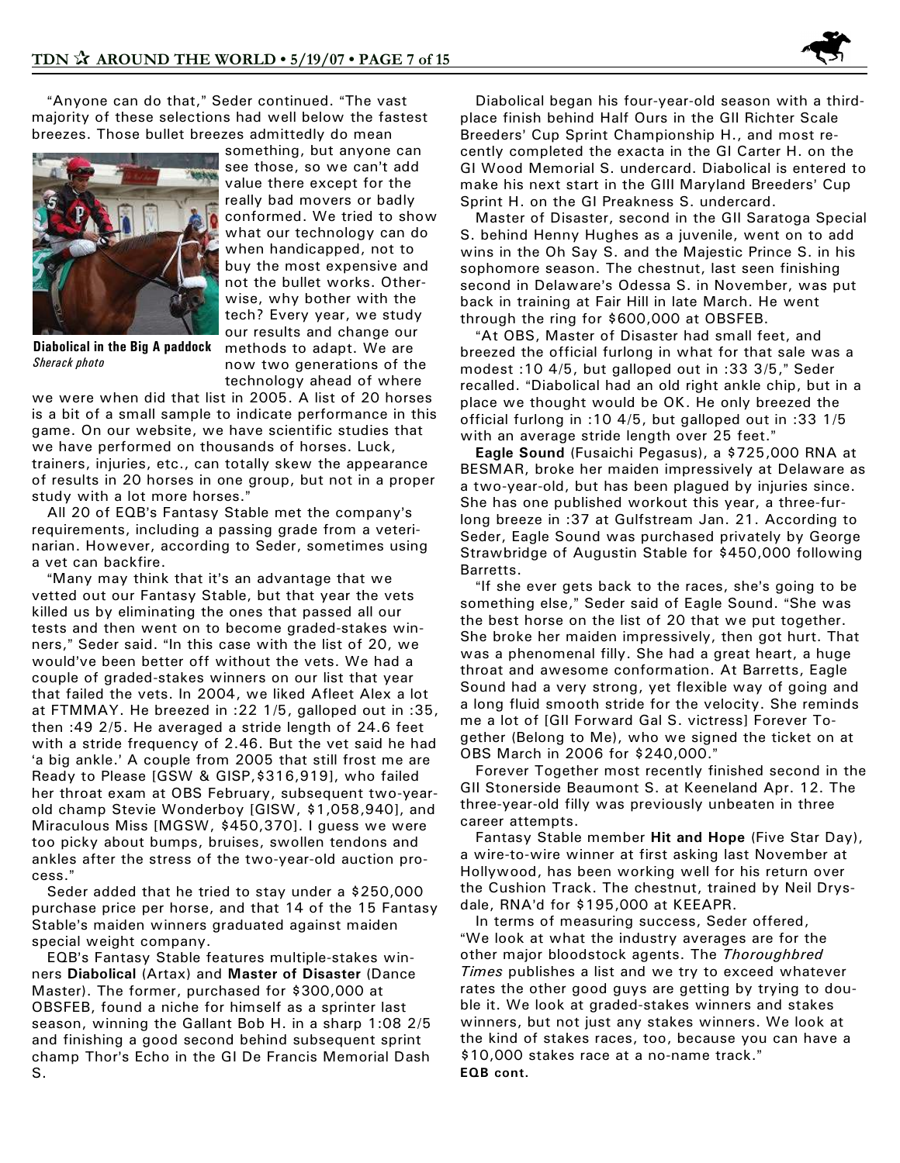"Anyone can do that," Seder continued. "The vast majority of these selections had well below the fastest breezes. Those bullet breezes admittedly do mean



**Diabolical in the Big A paddock** *Sherack photo*

something, but anyone can see those, so we can't add value there except for the really bad movers or badly conformed. We tried to show what our technology can do when handicapped, not to buy the most expensive and not the bullet works. Otherwise, why bother with the tech? Every year, we study our results and change our methods to adapt. We are now two generations of the technology ahead of where

we were when did that list in 2005. A list of 20 horses is a bit of a small sample to indicate performance in this game. On our website, we have scientific studies that we have performed on thousands of horses. Luck, trainers, injuries, etc., can totally skew the appearance of results in 20 horses in one group, but not in a proper study with a lot more horses."

All 20 of EQB's Fantasy Stable met the company's requirements, including a passing grade from a veterinarian. However, according to Seder, sometimes using a vet can backfire.

"Many may think that it's an advantage that we vetted out our Fantasy Stable, but that year the vets killed us by eliminating the ones that passed all our tests and then went on to become graded-stakes winners," Seder said. "In this case with the list of 20, we would've been better off without the vets. We had a couple of graded-stakes winners on our list that year that failed the vets. In 2004, we liked Afleet Alex a lot at FTMMAY. He breezed in :22 1/5, galloped out in :35, then :49 2/5. He averaged a stride length of 24.6 feet with a stride frequency of 2.46. But the vet said he had 'a big ankle.' A couple from 2005 that still frost me are Ready to Please [GSW & GISP,\$316,919], who failed her throat exam at OBS February, subsequent two-yearold champ Stevie Wonderboy [GISW, \$1,058,940], and Miraculous Miss [MGSW, \$450,370]. I guess we were too picky about bumps, bruises, swollen tendons and ankles after the stress of the two-year-old auction process."

 Seder added that he tried to stay under a \$250,000 purchase price per horse, and that 14 of the 15 Fantasy Stable's maiden winners graduated against maiden special weight company.

EQB's Fantasy Stable features multiple-stakes winners **Diabolical** (Artax) and **Master of Disaster** (Dance Master). The former, purchased for \$300,000 at OBSFEB, found a niche for himself as a sprinter last season, winning the Gallant Bob H. in a sharp 1:08 2/5 and finishing a good second behind subsequent sprint champ Thor's Echo in the GI De Francis Memorial Dash S.

 Diabolical began his four-year-old season with a thirdplace finish behind Half Ours in the GII Richter Scale Breeders' Cup Sprint Championship H., and most recently completed the exacta in the GI Carter H. on the GI Wood Memorial S. undercard. Diabolical is entered to make his next start in the GIII Maryland Breeders' Cup Sprint H. on the GI Preakness S. undercard.

 Master of Disaster, second in the GII Saratoga Special S. behind Henny Hughes as a juvenile, went on to add wins in the Oh Say S. and the Majestic Prince S. in his sophomore season. The chestnut, last seen finishing second in Delaware's Odessa S. in November, was put back in training at Fair Hill in late March. He went through the ring for \$600,000 at OBSFEB.

"At OBS, Master of Disaster had small feet, and breezed the official furlong in what for that sale was a modest :10 4/5, but galloped out in :33  $3/5$ ," Seder recalled. "Diabolical had an old right ankle chip, but in a place we thought would be OK. He only breezed the official furlong in :10 4/5, but galloped out in :33 1/5 with an average stride length over 25 feet."

 **Eagle Sound** (Fusaichi Pegasus), a \$725,000 RNA at BESMAR, broke her maiden impressively at Delaware as a two-year-old, but has been plagued by injuries since. She has one published workout this year, a three-furlong breeze in :37 at Gulfstream Jan. 21. According to Seder, Eagle Sound was purchased privately by George Strawbridge of Augustin Stable for \$450,000 following Barretts.

"If she ever gets back to the races, she's going to be something else," Seder said of Eagle Sound. "She was the best horse on the list of 20 that we put together. She broke her maiden impressively, then got hurt. That was a phenomenal filly. She had a great heart, a huge throat and awesome conformation. At Barretts, Eagle Sound had a very strong, yet flexible way of going and a long fluid smooth stride for the velocity. She reminds me a lot of [GII Forward Gal S. victress] Forever Together (Belong to Me), who we signed the ticket on at OBS March in 2006 for \$240,000."

 Forever Together most recently finished second in the GII Stonerside Beaumont S. at Keeneland Apr. 12. The three-year-old filly was previously unbeaten in three career attempts.

 Fantasy Stable member **Hit and Hope** (Five Star Day), a wire-to-wire winner at first asking last November at Hollywood, has been working well for his return over the Cushion Track. The chestnut, trained by Neil Drysdale, RNA'd for \$195,000 at KEEAPR.

 In terms of measuring success, Seder offered, "We look at what the industry averages are for the other major bloodstock agents. The *Thoroughbred Times* publishes a list and we try to exceed whatever rates the other good guys are getting by trying to double it. We look at graded-stakes winners and stakes winners, but not just any stakes winners. We look at the kind of stakes races, too, because you can have a \$10,000 stakes race at a no-name track." **EQB cont.**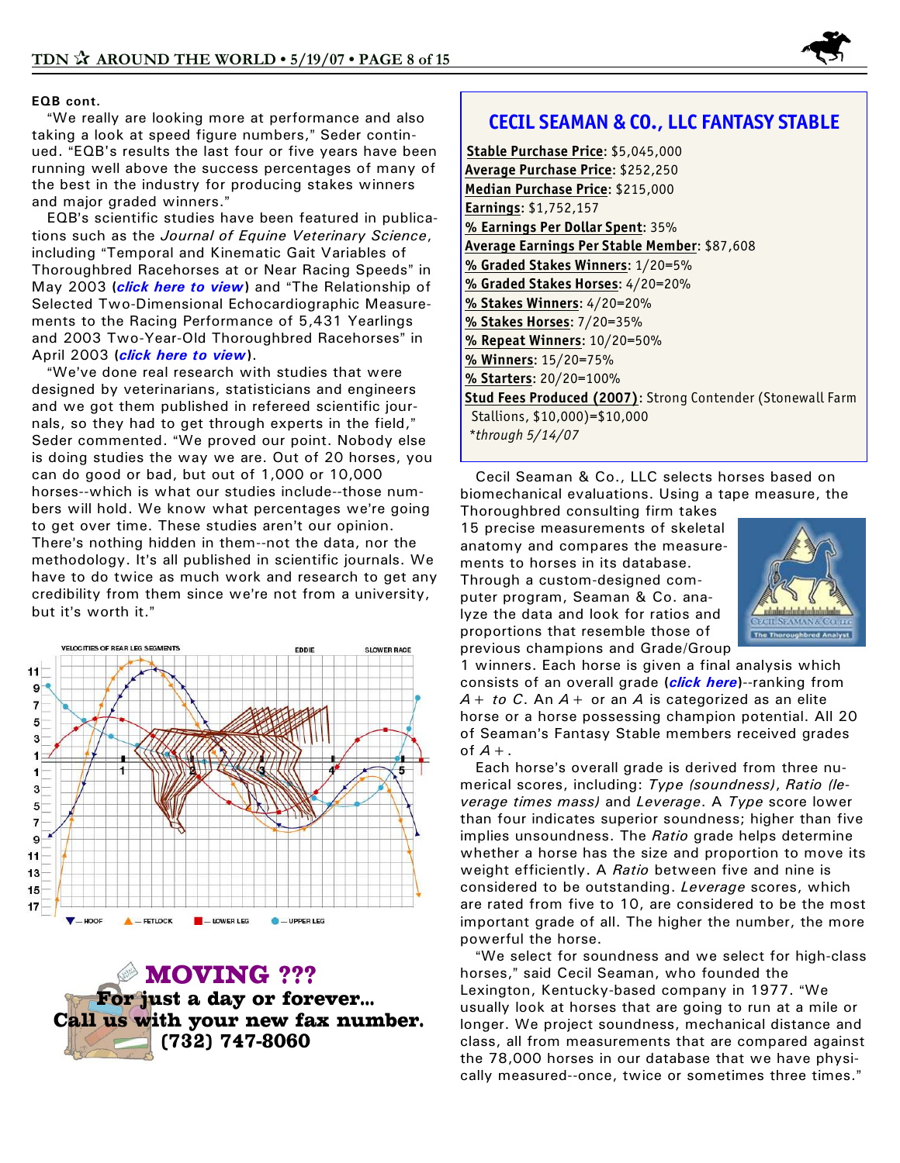

#### **EQB cont.**

"We really are looking more at performance and also taking a look at speed figure numbers," Seder continued. "EQB's results the last four or five years have been running well above the success percentages of many of the best in the industry for producing stakes winners and major graded winners."

EQB's scientific studies have been featured in publications such as the *Journal of Equine Veterinary Science*, including "Temporal and Kinematic Gait Variables of Thoroughbred Racehorses at or Near Racing Speeds" in May 2003 (*[click here to view](http://eqb.com/images/eqb.com/pdfs/1st%20gait%20paper.pdf)*) and "The Relationship of Selected Two-Dimensional Echocardiographic Measurements to the Racing Performance of 5,431 Yearlings and 2003 Two-Year-Old Thoroughbred Racehorses" in April 2003 **(***[click here to view](http://eqb.com/images/eqb.com/pdfs/C.V.-final%20in%20Journal.pdf)***)**.

"We've done real research with studies that were designed by veterinarians, statisticians and engineers and we got them published in refereed scientific journals, so they had to get through experts in the field," Seder commented. "We proved our point. Nobody else is doing studies the way we are. Out of 20 horses, you can do good or bad, but out of 1,000 or 10,000 horses--which is what our studies include--those numbers will hold. We know what percentages we're going to get over time. These studies aren't our opinion. There's nothing hidden in them--not the data, nor the methodology. It's all published in scientific journals. We have to do twice as much work and research to get any credibility from them since we're not from a university, but it's worth it."



**MOVING ???** For just a day or forever... Call us with your new fax number. (732) 747-8060

### **CECIL SEAMAN & CO., LLC FANTASY STABLE**

**Stable Purchase Price**: \$5,045,000 **Average Purchase Price**: \$252,250 **Median Purchase Price**: \$215,000 **Earnings**: \$1,752,157 **% Earnings Per Dollar Spent**: 35% **Average Earnings Per Stable Member**: \$87,608 **% Graded Stakes Winners**: 1/20=5% **% Graded Stakes Horses**: 4/20=20% **% Stakes Winners**: 4/20=20% **% Stakes Horses**: 7/20=35% **% Repeat Winners**: 10/20=50% **% Winners**: 15/20=75% **% Starters**: 20/20=100% **Stud Fees Produced (2007)**: Strong Contender (Stonewall Farm Stallions, \$10,000)=\$10,000 *\*through 5/14/07*

 Cecil Seaman & Co., LLC selects horses based on biomechanical evaluations. Using a tape measure, the

Thoroughbred consulting firm takes 15 precise measurements of skeletal anatomy and compares the measurements to horses in its database. Through a custom-designed computer program, Seaman & Co. analyze the data and look for ratios and proportions that resemble those of previous champions and Grade/Group



1 winners. Each horse is given a final analysis which consists of an overall grade **(***[click here](http://www.cecilseaman.com/services/grade_report.cfm)***)**--ranking from *A+ to C*. An *A+* or an *A* is categorized as an elite horse or a horse possessing champion potential. All 20 of Seaman's Fantasy Stable members received grades of *A+*.

Each horse's overall grade is derived from three numerical scores, including: *Type (soundness)*, *Ratio (leverage times mass)* and *Leverage*. A *Type* score lower than four indicates superior soundness; higher than five implies unsoundness. The *Ratio* grade helps determine whether a horse has the size and proportion to move its weight efficiently. A *Ratio* between five and nine is considered to be outstanding. *Leverage* scores, which are rated from five to 10, are considered to be the most important grade of all. The higher the number, the more powerful the horse.

"We select for soundness and we select for high-class horses," said Cecil Seaman, who founded the Lexington, Kentucky-based company in 1977. "We usually look at horses that are going to run at a mile or longer. We project soundness, mechanical distance and class, all from measurements that are compared against the 78,000 horses in our database that we have physically measured--once, twice or sometimes three times."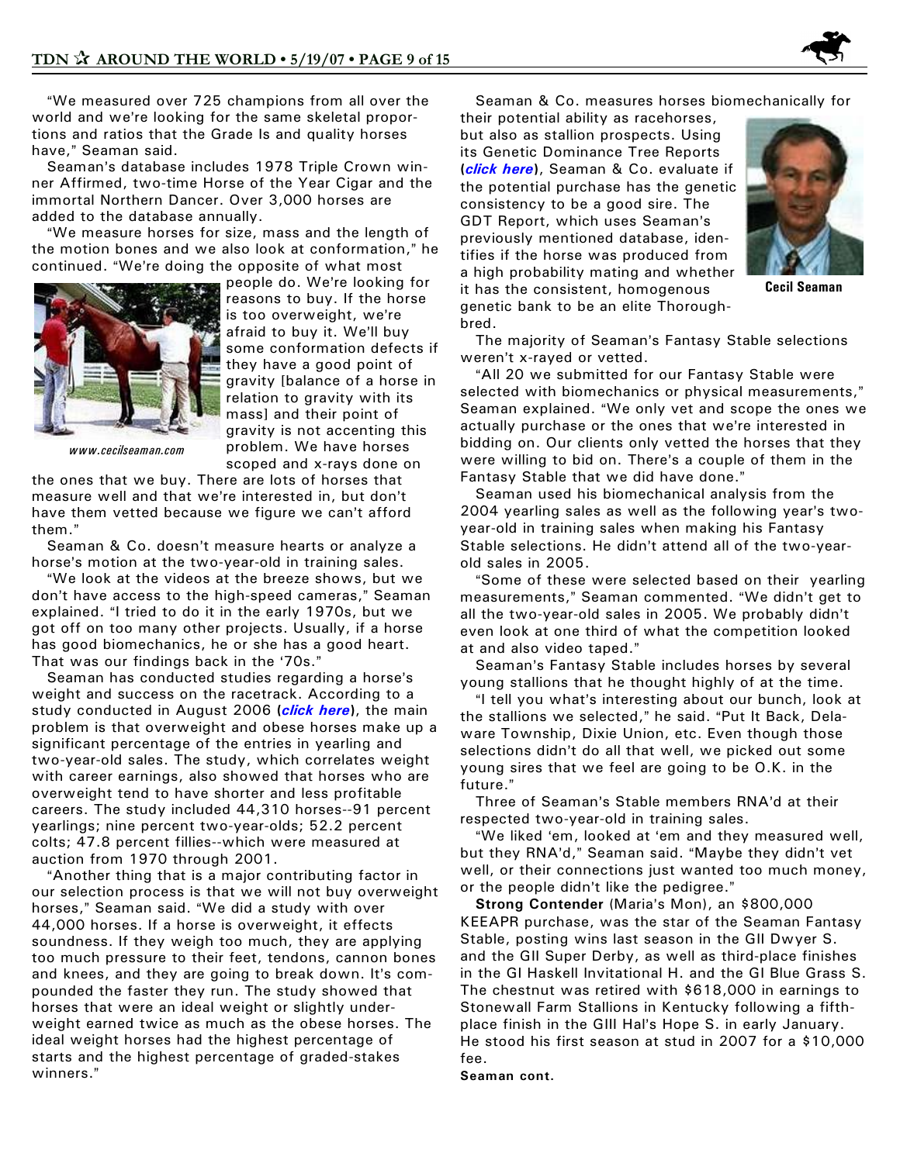

"We measured over 725 champions from all over the world and we're looking for the same skeletal proportions and ratios that the Grade Is and quality horses have," Seaman said.

Seaman's database includes 1978 Triple Crown winner Affirmed, two-time Horse of the Year Cigar and the immortal Northern Dancer. Over 3,000 horses are added to the database annually.

"We measure horses for size, mass and the length of the motion bones and we also look at conformation," he continued. "We're doing the opposite of what most



people do. We're looking for reasons to buy. If the horse is too overweight, we're afraid to buy it. We'll buy some conformation defects if they have a good point of gravity [balance of a horse in relation to gravity with its mass] and their point of gravity is not accenting this problem. We have horses scoped and x-rays done on

*www.cecilseaman.com*

the ones that we buy. There are lots of horses that measure well and that we're interested in, but don't have them vetted because we figure we can't afford them."

Seaman & Co. doesn't measure hearts or analyze a horse's motion at the two-year-old in training sales.

"We look at the videos at the breeze shows, but we don't have access to the high-speed cameras," Seaman explained. "I tried to do it in the early 1970s, but we got off on too many other projects. Usually, if a horse has good biomechanics, he or she has a good heart. That was our findings back in the '70s."

Seaman has conducted studies regarding a horse's weight and success on the racetrack. According to a study conducted in August 2006 **(***[click here](http://www.cecilseaman.com/studies/)***)**, the main problem is that overweight and obese horses make up a significant percentage of the entries in yearling and two-year-old sales. The study, which correlates weight with career earnings, also showed that horses who are overweight tend to have shorter and less profitable careers. The study included 44,310 horses--91 percent yearlings; nine percent two-year-olds; 52.2 percent colts; 47.8 percent fillies--which were measured at auction from 1970 through 2001.

"Another thing that is a major contributing factor in our selection process is that we will not buy overweight horses," Seaman said. "We did a study with over 44,000 horses. If a horse is overweight, it effects soundness. If they weigh too much, they are applying too much pressure to their feet, tendons, cannon bones and knees, and they are going to break down. It's compounded the faster they run. The study showed that horses that were an ideal weight or slightly underweight earned twice as much as the obese horses. The ideal weight horses had the highest percentage of starts and the highest percentage of graded-stakes winners."

Seaman & Co. measures horses biomechanically for

their potential ability as racehorses, but also as stallion prospects. Using its Genetic Dominance Tree Reports **(***[click here](http://www.gdtreport.com/aboutgdt.cfm)***)**, Seaman & Co. evaluate if the potential purchase has the genetic consistency to be a good sire. The GDT Report, which uses Seaman's previously mentioned database, identifies if the horse was produced from a high probability mating and whether it has the consistent, homogenous genetic bank to be an elite Thoroughbred.



**Cecil Seaman**

The majority of Seaman's Fantasy Stable selections weren't x-rayed or vetted.

"All 20 we submitted for our Fantasy Stable were selected with biomechanics or physical measurements," Seaman explained. "We only vet and scope the ones we actually purchase or the ones that we're interested in bidding on. Our clients only vetted the horses that they were willing to bid on. There's a couple of them in the Fantasy Stable that we did have done."

 Seaman used his biomechanical analysis from the 2004 yearling sales as well as the following year's twoyear-old in training sales when making his Fantasy Stable selections. He didn't attend all of the two-yearold sales in 2005.

"Some of these were selected based on their yearling measurements," Seaman commented. "We didn't get to all the two-year-old sales in 2005. We probably didn't even look at one third of what the competition looked at and also video taped."

Seaman's Fantasy Stable includes horses by several young stallions that he thought highly of at the time.

"I tell you what's interesting about our bunch, look at the stallions we selected," he said. "Put It Back, Delaware Township, Dixie Union, etc. Even though those selections didn't do all that well, we picked out some young sires that we feel are going to be O.K. in the future."

Three of Seaman's Stable members RNA'd at their respected two-year-old in training sales.

"We liked 'em, looked at 'em and they measured well, but they RNA'd," Seaman said. "Maybe they didn't vet well, or their connections just wanted too much money, or the people didn't like the pedigree."

**Strong Contender** (Maria's Mon), an \$800,000 KEEAPR purchase, was the star of the Seaman Fantasy Stable, posting wins last season in the GII Dwyer S. and the GII Super Derby, as well as third-place finishes in the GI Haskell Invitational H. and the GI Blue Grass S. The chestnut was retired with \$618,000 in earnings to Stonewall Farm Stallions in Kentucky following a fifthplace finish in the GIII Hal's Hope S. in early January. He stood his first season at stud in 2007 for a \$10,000 fee.

#### **Seaman cont.**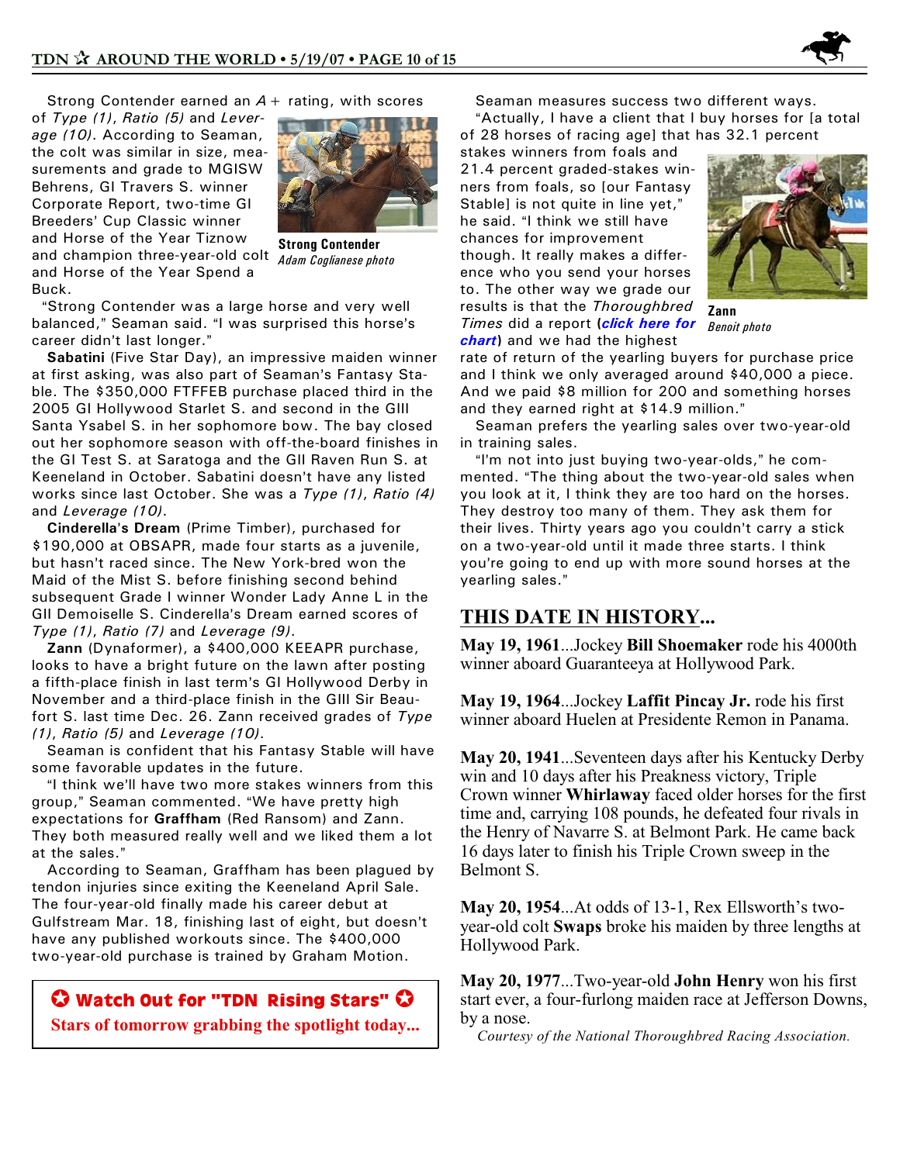

Strong Contender earned an *A+* rating, with scores

of *Type (1)*, *Ratio (5)* and *Leverage (10)*. According to Seaman, the colt was similar in size, measurements and grade to MGISW Behrens, GI Travers S. winner Corporate Report, two-time GI Breeders' Cup Classic winner and Horse of the Year Tiznow and champion three-year-old colt and Horse of the Year Spend a Buck.



**Strong Contender** *Adam Coglianese photo*

"Strong Contender was a large horse and very well balanced," Seaman said. "I was surprised this horse's career didn't last longer."

 **Sabatini** (Five Star Day), an impressive maiden winner at first asking, was also part of Seaman's Fantasy Stable. The \$350,000 FTFFEB purchase placed third in the 2005 GI Hollywood Starlet S. and second in the GIII Santa Ysabel S. in her sophomore bow. The bay closed out her sophomore season with off-the-board finishes in the GI Test S. at Saratoga and the GII Raven Run S. at Keeneland in October. Sabatini doesn't have any listed works since last October. She was a *Type (1)*, *Ratio (4)* and *Leverage (10)*.

 **Cinderella**=**s Dream** (Prime Timber), purchased for \$190,000 at OBSAPR, made four starts as a juvenile, but hasn't raced since. The New York-bred won the Maid of the Mist S. before finishing second behind subsequent Grade I winner Wonder Lady Anne L in the GII Demoiselle S. Cinderella's Dream earned scores of *Type (1)*, *Ratio (7)* and *Leverage (9)*.

 **Zann** (Dynaformer), a \$400,000 KEEAPR purchase, looks to have a bright future on the lawn after posting a fifth-place finish in last term's GI Hollywood Derby in November and a third-place finish in the GIII Sir Beaufort S. last time Dec. 26. Zann received grades of *Type (1)*, *Ratio (5)* and *Leverage (10)*.

 Seaman is confident that his Fantasy Stable will have some favorable updates in the future.

"I think we'll have two more stakes winners from this group," Seaman commented. "We have pretty high expectations for **Graffham** (Red Ransom) and Zann. They both measured really well and we liked them a lot at the sales."

 According to Seaman, Graffham has been plagued by tendon injuries since exiting the Keeneland April Sale. The four-year-old finally made his career debut at Gulfstream Mar. 18, finishing last of eight, but doesn't have any published workouts since. The \$400,000 two-year-old purchase is trained by Graham Motion.

J **Watch Out for "***TDN* **Rising Stars"** J **Stars of tomorrow grabbing the spotlight today...** Seaman measures success two different ways.

"Actually, I have a client that I buy horses for [a total of 28 horses of racing age] that has 32.1 percent

stakes winners from foals and 21.4 percent graded-stakes winners from foals, so [our Fantasy Stable] is not quite in line yet," he said. "I think we still have chances for improvement though. It really makes a difference who you send your horses to. The other way we grade our results is that the *Thoroughbred Times* did a report **(***[click here for](http://www.cecilseaman.com/graphics/number1AD.jpg) [chart](http://www.cecilseaman.com/graphics/number1AD.jpg)***)** and we had the highest



**Zann** *Benoit photo*

rate of return of the yearling buyers for purchase price and I think we only averaged around \$40,000 a piece. And we paid \$8 million for 200 and something horses and they earned right at \$14.9 million."

 Seaman prefers the yearling sales over two-year-old in training sales.

"I'm not into just buying two-year-olds," he commented. "The thing about the two-year-old sales when you look at it, I think they are too hard on the horses. They destroy too many of them. They ask them for their lives. Thirty years ago you couldn't carry a stick on a two-year-old until it made three starts. I think you're going to end up with more sound horses at the yearling sales."

### **THIS DATE IN HISTORY...**

**May 19, 1961**...Jockey **Bill Shoemaker** rode his 4000th winner aboard Guaranteeya at Hollywood Park.

**May 19, 1964**...Jockey **Laffit Pincay Jr.** rode his first winner aboard Huelen at Presidente Remon in Panama.

**May 20, 1941**...Seventeen days after his Kentucky Derby win and 10 days after his Preakness victory, Triple Crown winner **Whirlaway** faced older horses for the first time and, carrying 108 pounds, he defeated four rivals in the Henry of Navarre S. at Belmont Park. He came back 16 days later to finish his Triple Crown sweep in the Belmont S.

**May 20, 1954**...At odds of 13-1, Rex Ellsworth's twoyear-old colt **Swaps** broke his maiden by three lengths at Hollywood Park.

**May 20, 1977**...Two-year-old **John Henry** won his first start ever, a four-furlong maiden race at Jefferson Downs, by a nose.

*Courtesy of the National Thoroughbred Racing Association.*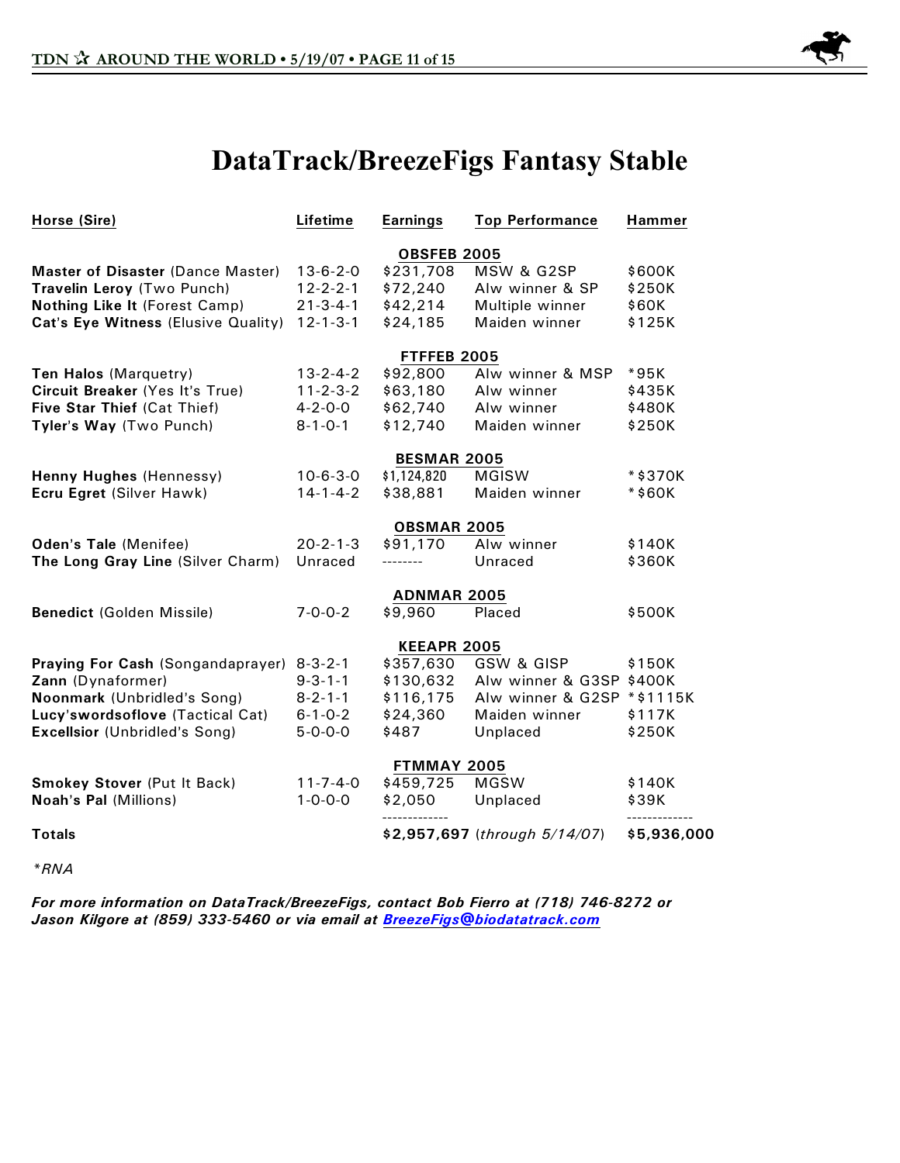

# **DataTrack/BreezeFigs Fantasy Stable**

| Horse (Sire)                         | Lifetime         | <b>Earnings</b>    | <b>Top Performance</b>        | <b>Hammer</b> |  |  |
|--------------------------------------|------------------|--------------------|-------------------------------|---------------|--|--|
|                                      |                  | <b>OBSFEB 2005</b> |                               |               |  |  |
| Master of Disaster (Dance Master)    | $13 - 6 - 2 - 0$ | \$231,708          | MSW & G2SP                    | \$600K        |  |  |
| Travelin Leroy (Two Punch)           | $12 - 2 - 2 - 1$ | \$72,240           | Alw winner & SP               | \$250K        |  |  |
| Nothing Like It (Forest Camp)        | $21 - 3 - 4 - 1$ | \$42,214           | Multiple winner               | \$60K         |  |  |
| Cat's Eye Witness (Elusive Quality)  | $12 - 1 - 3 - 1$ | \$24,185           | Maiden winner                 | \$125K        |  |  |
|                                      |                  | <b>FTFFEB 2005</b> |                               |               |  |  |
| Ten Halos (Marquetry)                | $13 - 2 - 4 - 2$ | \$92,800           | Alw winner & MSP              | *95K          |  |  |
| Circuit Breaker (Yes It's True)      | $11 - 2 - 3 - 2$ | \$63,180           | Alw winner                    | \$435K        |  |  |
| Five Star Thief (Cat Thief)          | $4 - 2 - 0 - 0$  | \$62,740           | Alw winner                    | \$480K        |  |  |
| Tyler's Way (Two Punch)              | $8 - 1 - 0 - 1$  | \$12,740           | Maiden winner                 | \$250K        |  |  |
|                                      |                  | <b>BESMAR 2005</b> |                               |               |  |  |
| Henny Hughes (Hennessy)              | $10 - 6 - 3 - 0$ | \$1,124,820        | <b>MGISW</b>                  | *\$370K       |  |  |
| Ecru Egret (Silver Hawk)             | $14 - 1 - 4 - 2$ | \$38,881           | Maiden winner                 | *\$60K        |  |  |
|                                      |                  | <b>OBSMAR 2005</b> |                               |               |  |  |
| Oden's Tale (Menifee)                | $20 - 2 - 1 - 3$ | \$91,170           | Alw winner                    | \$140K        |  |  |
| The Long Gray Line (Silver Charm)    | Unraced          | --------           | Unraced                       | \$360K        |  |  |
|                                      |                  | <b>ADNMAR 2005</b> |                               |               |  |  |
| <b>Benedict (Golden Missile)</b>     | $7 - 0 - 0 - 2$  | \$9,960            | Placed                        | \$500K        |  |  |
|                                      |                  | <b>KEEAPR 2005</b> |                               |               |  |  |
| Praying For Cash (Songandaprayer)    | $8 - 3 - 2 - 1$  | \$357,630          | <b>GSW &amp; GISP</b>         | \$150K        |  |  |
| Zann (Dynaformer)                    | $9 - 3 - 1 - 1$  | \$130,632          | Alw winner & G3SP \$400K      |               |  |  |
| Noonmark (Unbridled's Song)          | $8 - 2 - 1 - 1$  | \$116,175          | Alw winner & G2SP             | *\$1115K      |  |  |
| Lucy'swordsoflove (Tactical Cat)     | $6 - 1 - 0 - 2$  | \$24,360           | Maiden winner                 | \$117K        |  |  |
| <b>Excellsior (Unbridled's Song)</b> | $5 - 0 - 0 - 0$  | \$487              | Unplaced                      | \$250K        |  |  |
|                                      |                  | <b>FTMMAY 2005</b> |                               |               |  |  |
| Smokey Stover (Put It Back)          | $11 - 7 - 4 - 0$ | \$459,725          | <b>MGSW</b>                   | \$140K        |  |  |
| Noah's Pal (Millions)                | $1 - 0 - 0 - 0$  | \$2,050            | Unplaced                      | \$39K         |  |  |
| <b>Totals</b>                        |                  |                    | \$2,957,697 (through 5/14/07) | \$5,936,000   |  |  |
|                                      |                  |                    |                               |               |  |  |

*\*RNA*

*For more information on DataTrack/BreezeFigs, contact Bob Fierro at (718) 746-8272 or Jason Kilgore at (859) 333-5460 or via email at [BreezeFigs@biodatatrack.com](mailto:BreezeFigs@biodatatrack.com)*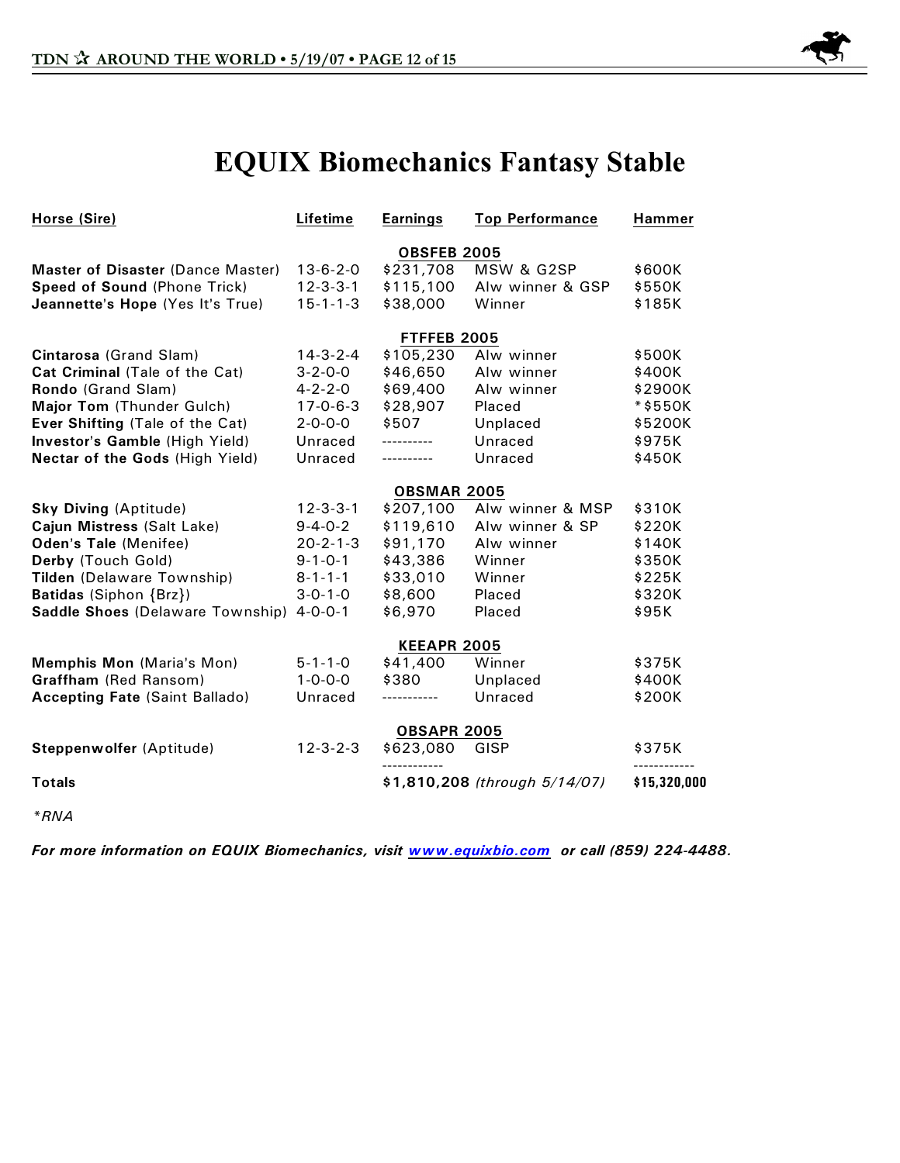

# **EQUIX Biomechanics Fantasy Stable**

| Horse (Sire)                          | Lifetime           | <b>Earnings</b>    | <b>Top Performance</b>        | Hammer       |  |  |
|---------------------------------------|--------------------|--------------------|-------------------------------|--------------|--|--|
|                                       | <b>OBSFEB 2005</b> |                    |                               |              |  |  |
| Master of Disaster (Dance Master)     | $13 - 6 - 2 - 0$   | \$231,708          | MSW & G2SP                    | \$600K       |  |  |
| Speed of Sound (Phone Trick)          | $12 - 3 - 3 - 1$   | \$115,100          | Alw winner & GSP              | \$550K       |  |  |
| Jeannette's Hope (Yes It's True)      | $15 - 1 - 1 - 3$   | \$38,000           | Winner                        | \$185K       |  |  |
|                                       |                    | <b>FTFFEB 2005</b> |                               |              |  |  |
| Cintarosa (Grand Slam)                | $14 - 3 - 2 - 4$   | \$105,230          | Alw winner                    | \$500K       |  |  |
| Cat Criminal (Tale of the Cat)        | $3 - 2 - 0 - 0$    | \$46,650           | Alw winner                    | \$400K       |  |  |
| Rondo (Grand Slam)                    | $4 - 2 - 2 - 0$    | \$69,400           | Alw winner                    | \$2900K      |  |  |
| Major Tom (Thunder Gulch)             | $17 - 0 - 6 - 3$   | \$28,907           | Placed                        | *\$550K      |  |  |
| Ever Shifting (Tale of the Cat)       | $2 - 0 - 0 - 0$    | \$507              | Unplaced                      | \$5200K      |  |  |
| Investor's Gamble (High Yield)        | Unraced            | ----------         | Unraced                       | \$975K       |  |  |
| Nectar of the Gods (High Yield)       | Unraced            | ----------         | Unraced                       | \$450K       |  |  |
|                                       | <b>OBSMAR 2005</b> |                    |                               |              |  |  |
| <b>Sky Diving (Aptitude)</b>          | $12 - 3 - 3 - 1$   | \$207,100          | Alw winner & MSP              | \$310K       |  |  |
| Cajun Mistress (Salt Lake)            | $9 - 4 - 0 - 2$    | \$119,610          | Alw winner & SP               | \$220K       |  |  |
| Oden's Tale (Menifee)                 | $20 - 2 - 1 - 3$   | \$91,170           | Alw winner                    | \$140K       |  |  |
| Derby (Touch Gold)                    | $9 - 1 - 0 - 1$    | \$43,386           | Winner                        | \$350K       |  |  |
| Tilden (Delaware Township)            | $8 - 1 - 1 - 1$    | \$33,010           | Winner                        | \$225K       |  |  |
| Batidas (Siphon {Brz})                | $3 - 0 - 1 - 0$    | \$8,600            | Placed                        | \$320K       |  |  |
| Saddle Shoes (Delaware Township)      | $4 - 0 - 0 - 1$    | \$6,970            | Placed                        | \$95K        |  |  |
|                                       |                    | <b>KEEAPR 2005</b> |                               |              |  |  |
| Memphis Mon (Maria's Mon)             | $5 - 1 - 1 - 0$    | \$41,400           | Winner                        | \$375K       |  |  |
| Graffham (Red Ransom)                 | $1 - 0 - 0 - 0$    | \$380              | Unplaced                      | \$400K       |  |  |
| <b>Accepting Fate (Saint Ballado)</b> | Unraced            | -----------        | Unraced                       | \$200K       |  |  |
|                                       |                    | <b>OBSAPR 2005</b> |                               |              |  |  |
| Steppenwolfer (Aptitude)              | $12 - 3 - 2 - 3$   | \$623,080          | GISP                          | \$375K       |  |  |
| <b>Totals</b>                         |                    |                    | \$1,810,208 (through 5/14/07) | \$15,320,000 |  |  |

*\*RNA*

*For more information on EQUIX Biomechanics, visit [www.equixbio.com](http://www.equixbio.com/) or call (859) 224-4488.*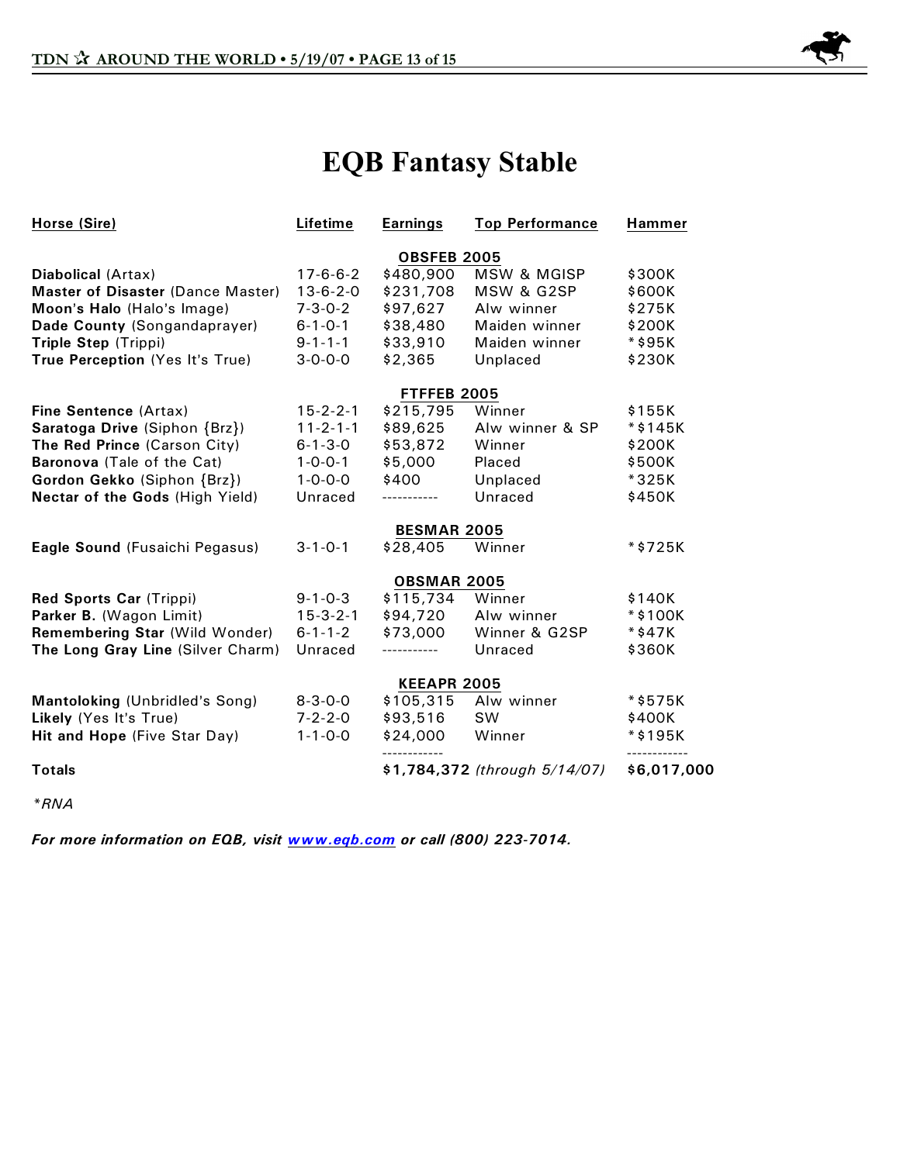

# **EQB Fantasy Stable**

| Horse (Sire)                      | Lifetime               | <b>Earnings</b>    | <b>Top Performance</b>        | <b>Hammer</b>           |  |  |  |
|-----------------------------------|------------------------|--------------------|-------------------------------|-------------------------|--|--|--|
|                                   | <b>OBSFEB 2005</b>     |                    |                               |                         |  |  |  |
| Diabolical (Artax)                | $17 - 6 - 6 - 2$       | \$480,900          | <b>MSW &amp; MGISP</b>        | \$300K                  |  |  |  |
| Master of Disaster (Dance Master) | $13 - 6 - 2 - 0$       | \$231,708          | MSW & G2SP                    | \$600K                  |  |  |  |
| Moon's Halo (Halo's Image)        | $7 - 3 - 0 - 2$        | \$97,627           | Alw winner                    | \$275K                  |  |  |  |
| Dade County (Songandaprayer)      | $6 - 1 - 0 - 1$        | \$38,480           | Maiden winner                 | \$200K                  |  |  |  |
| Triple Step (Trippi)              | $9 - 1 - 1 - 1$        | \$33,910           | Maiden winner                 | *\$95K                  |  |  |  |
| True Perception (Yes It's True)   | $3 - 0 - 0 - 0$        | \$2,365            | Unplaced                      | \$230K                  |  |  |  |
|                                   |                        | FTFFEB 2005        |                               |                         |  |  |  |
| Fine Sentence (Artax)             | $15 - 2 - 2 - 1$       | \$215,795          | Winner                        | \$155K                  |  |  |  |
| Saratoga Drive (Siphon {Brz})     | $11 - 2 - 1 - 1$       | \$89,625           | Alw winner & SP               | $*$ \$145K              |  |  |  |
| The Red Prince (Carson City)      | $6 - 1 - 3 - 0$        | \$53,872           | Winner                        | \$200K                  |  |  |  |
| Baronova (Tale of the Cat)        | $1 - 0 - 0 - 1$        | \$5,000            | Placed                        | \$500K                  |  |  |  |
| Gordon Gekko (Siphon {Brz})       | $1 - 0 - 0 - 0$        | \$400              | Unplaced                      | *325K                   |  |  |  |
| Nectar of the Gods (High Yield)   | Unraced<br>----------- |                    | Unraced                       | \$450K                  |  |  |  |
|                                   |                        | <b>BESMAR 2005</b> |                               |                         |  |  |  |
| Eagle Sound (Fusaichi Pegasus)    | $3 - 1 - 0 - 1$        | \$28,405           | Winner                        | *\$725K                 |  |  |  |
|                                   |                        | <b>OBSMAR 2005</b> |                               |                         |  |  |  |
| Red Sports Car (Trippi)           | $9 - 1 - 0 - 3$        | \$115,734          | Winner                        | \$140K                  |  |  |  |
| Parker B. (Wagon Limit)           | $15 - 3 - 2 - 1$       | \$94,720           | Alw winner                    | $*$ \$100K              |  |  |  |
| Remembering Star (Wild Wonder)    | $6 - 1 - 1 - 2$        | \$73,000           | Winner & G2SP                 | *\$47K                  |  |  |  |
| The Long Gray Line (Silver Charm) | Unraced                |                    | Unraced                       | \$360K                  |  |  |  |
|                                   |                        | <b>KEEAPR 2005</b> |                               |                         |  |  |  |
| Mantoloking (Unbridled's Song)    | $8 - 3 - 0 - 0$        | \$105,315          | Alw winner                    | *\$575K                 |  |  |  |
| Likely (Yes It's True)            | $7 - 2 - 2 - 0$        | \$93,516           | <b>SW</b>                     | \$400K                  |  |  |  |
| Hit and Hope (Five Star Day)      | $1 - 1 - 0 - 0$        | \$24,000<br>.      | Winner                        | *\$195K<br>------------ |  |  |  |
| <b>Totals</b>                     |                        |                    | \$1,784,372 (through 5/14/07) | \$6,017,000             |  |  |  |

*\*RNA*

*For more information on EQB, visit [www.eqb.com](http://www.eqb.com) or call (800) 223-7014.*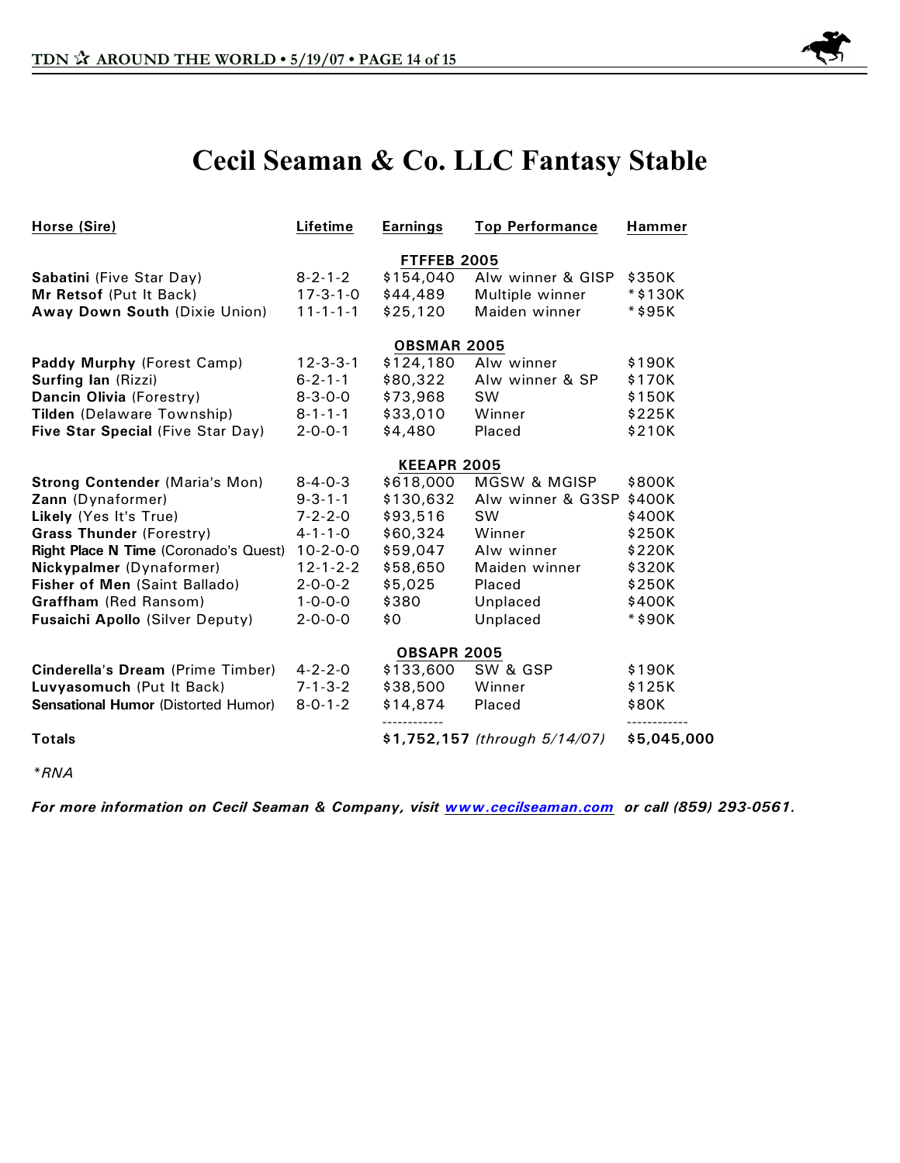

# **Cecil Seaman & Co. LLC Fantasy Stable**

| Horse (Sire)                               | Lifetime         | <b>Earnings</b>    | <b>Top Performance</b>        | <b>Hammer</b> |  |  |  |
|--------------------------------------------|------------------|--------------------|-------------------------------|---------------|--|--|--|
|                                            |                  | FTFFEB 2005        |                               |               |  |  |  |
| Sabatini (Five Star Day)                   | $8 - 2 - 1 - 2$  | \$154,040          | Alw winner & GISP             | \$350K        |  |  |  |
| Mr Retsof (Put It Back)                    | $17 - 3 - 1 - 0$ | \$44,489           | Multiple winner               | $*$ \$130K    |  |  |  |
| Away Down South (Dixie Union)              | $11 - 1 - 1 - 1$ | \$25,120           | Maiden winner                 | *\$95K        |  |  |  |
|                                            |                  | <b>OBSMAR 2005</b> |                               |               |  |  |  |
| Paddy Murphy (Forest Camp)                 | $12 - 3 - 3 - 1$ | \$124,180          | Alw winner                    | \$190K        |  |  |  |
| <b>Surfing lan (Rizzi)</b>                 | $6 - 2 - 1 - 1$  | \$80,322           | Alw winner & SP               | \$170K        |  |  |  |
| Dancin Olivia (Forestry)                   | $8 - 3 - 0 - 0$  | \$73,968           | <b>SW</b>                     | \$150K        |  |  |  |
| Tilden (Delaware Township)                 | $8 - 1 - 1 - 1$  | \$33,010           | Winner                        | \$225K        |  |  |  |
| Five Star Special (Five Star Day)          | $2 - 0 - 0 - 1$  | \$4,480            | Placed                        | \$210K        |  |  |  |
|                                            |                  | <b>KEEAPR 2005</b> |                               |               |  |  |  |
| <b>Strong Contender (Maria's Mon)</b>      | $8 - 4 - 0 - 3$  | \$618,000          | MGSW & MGISP                  | \$800K        |  |  |  |
| Zann (Dynaformer)                          | $9 - 3 - 1 - 1$  | \$130,632          | Alw winner & G3SP             | \$400K        |  |  |  |
| Likely (Yes It's True)                     | $7 - 2 - 2 - 0$  | \$93,516           | <b>SW</b>                     | \$400K        |  |  |  |
| <b>Grass Thunder (Forestry)</b>            | $4 - 1 - 1 - 0$  | \$60,324           | Winner                        | \$250K        |  |  |  |
| Right Place N Time (Coronado's Quest)      | $10-2-0-0$       | \$59,047           | Alw winner                    | \$220K        |  |  |  |
| Nickypalmer (Dynaformer)                   | $12 - 1 - 2 - 2$ | \$58,650           | Maiden winner                 | \$320K        |  |  |  |
| Fisher of Men (Saint Ballado)              | $2 - 0 - 0 - 2$  | \$5,025            | Placed                        | \$250K        |  |  |  |
| Graffham (Red Ransom)                      | $1 - 0 - 0 - 0$  | \$380              | Unplaced                      | \$400K        |  |  |  |
| Fusaichi Apollo (Silver Deputy)            | $2 - 0 - 0 - 0$  | \$0                | Unplaced                      | *\$90K        |  |  |  |
|                                            |                  | <b>OBSAPR 2005</b> |                               |               |  |  |  |
| Cinderella's Dream (Prime Timber)          | $4 - 2 - 2 - 0$  | \$133,600          | SW & GSP                      | \$190K        |  |  |  |
| Luvyasomuch (Put It Back)                  | $7 - 1 - 3 - 2$  | \$38,500           | Winner                        | \$125K        |  |  |  |
| <b>Sensational Humor (Distorted Humor)</b> | $8 - 0 - 1 - 2$  | \$14,874           | Placed                        | \$80K         |  |  |  |
| <b>Totals</b>                              |                  |                    | \$1,752,157 (through 5/14/07) | \$5,045,000   |  |  |  |

*\*RNA*

*For more information on Cecil Seaman & Company, visit [www.cecilseaman.com](http://www.cecilseaman.com) or call (859) 293-0561.*